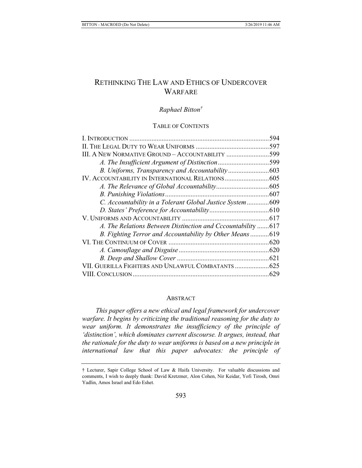# RETHINKING THE LAW AND ETHICS OF UNDERCOVER **WARFARE**

# *Raphael Bitton†*

### TABLE OF CONTENTS

|                                                             | .594 |
|-------------------------------------------------------------|------|
|                                                             |      |
| III. A NEW NORMATIVE GROUND - ACCOUNTABILITY 599            |      |
| A. The Insufficient Argument of Distinction599              |      |
|                                                             |      |
|                                                             |      |
|                                                             |      |
|                                                             |      |
| C. Accountability in a Tolerant Global Justice System 609   |      |
|                                                             |      |
|                                                             |      |
| A. The Relations Between Distinction and Cccountability 617 |      |
| B. Fighting Terror and Accountability by Other Means619     |      |
|                                                             |      |
|                                                             |      |
|                                                             |      |
| VII. GUERILLA FIGHTERS AND UNLAWFUL COMBATANTS  625         |      |
|                                                             |      |

#### ABSTRACT

*This paper offers a new ethical and legal framework for undercover warfare. It begins by criticizing the traditional reasoning for the duty to wear uniform. It demonstrates the insufficiency of the principle of 'distinction', which dominates current discourse. It argues, instead, that the rationale for the duty to wear uniforms is based on a new principle in international law that this paper advocates: the principle of* 

<sup>†</sup> Lecturer, Sapir College School of Law & Haifa University. For valuable discussions and comments, I wish to deeply thank: David Kretzmer, Alon Cohen, Nir Keidar, Yofi Tirosh, Omri Yadlin, Amos Israel and Edo Eshet.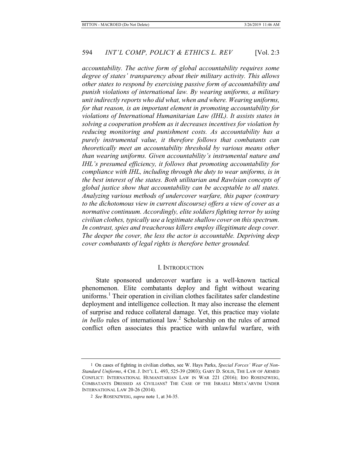*accountability. The active form of global accountability requires some degree of states' transparency about their military activity. This allows other states to respond by exercising passive form of accountability and punish violations of international law. By wearing uniforms, a military unit indirectly reports who did what, when and where. Wearing uniforms, for that reason, is an important element in promoting accountability for violations of International Humanitarian Law (IHL). It assists states in solving a cooperation problem as it decreases incentives for violation by reducing monitoring and punishment costs. As accountability has a purely instrumental value, it therefore follows that combatants can theoretically meet an accountability threshold by various means other than wearing uniforms. Given accountability's instrumental nature and IHL's presumed efficiency, it follows that promoting accountability for compliance with IHL, including through the duty to wear uniforms, is in the best interest of the states. Both utilitarian and Rawlsian concepts of global justice show that accountability can be acceptable to all states. Analyzing various methods of undercover warfare, this paper (contrary to the dichotomous view in current discourse) offers a view of cover as a normative continuum. Accordingly, elite soldiers fighting terror by using civilian clothes, typically use a legitimate shallow cover on this spectrum. In contrast, spies and treacherous killers employ illegitimate deep cover. The deeper the cover, the less the actor is accountable. Depriving deep cover combatants of legal rights is therefore better grounded.*

#### I. INTRODUCTION

State sponsored undercover warfare is a well-known tactical phenomenon. Elite combatants deploy and fight without wearing uniforms.<sup>1</sup> Their operation in civilian clothes facilitates safer clandestine deployment and intelligence collection. It may also increase the element of surprise and reduce collateral damage. Yet, this practice may violate in bello rules of international law.<sup>2</sup> Scholarship on the rules of armed conflict often associates this practice with unlawful warfare, with

<sup>1</sup> On cases of fighting in civilian clothes, see W. Hays Parks, *Special Forces' Wear of Non-Standard Uniforms*, 4 CHI. J. INT'L L. 493, 525-39 (2003); GARY D. SOLIS, THE LAW OF ARMED CONFLICT: INTERNATIONAL HUMANITARIAN LAW IN WAR 221 (2016); IDO ROSENZWEIG, COMBATANTS DRESSED AS CIVILIANS? THE CASE OF THE ISRAELI MISTA'ARVIM UNDER INTERNATIONAL LAW 20-26 (2014).

<sup>2</sup> *See* ROSENZWEIG, *supra* note 1, at 34-35.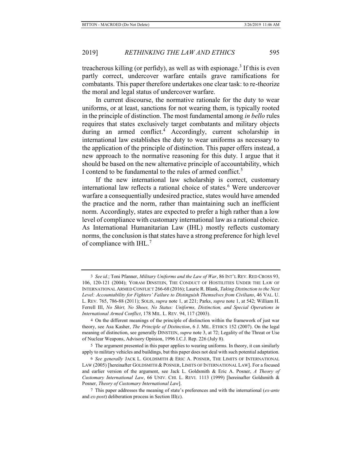treacherous killing (or perfidy), as well as with espionage.<sup>3</sup> If this is even partly correct, undercover warfare entails grave ramifications for combatants. This paper therefore undertakes one clear task: to re-theorize the moral and legal status of undercover warfare.

In current discourse, the normative rationale for the duty to wear uniforms, or at least, sanctions for not wearing them, is typically rooted in the principle of distinction. The most fundamental among *in bello* rules requires that states exclusively target combatants and military objects during an armed conflict.<sup>4</sup> Accordingly, current scholarship in international law establishes the duty to wear uniforms as necessary to the application of the principle of distinction. This paper offers instead, a new approach to the normative reasoning for this duty. I argue that it should be based on the new alternative principle of accountability, which I contend to be fundamental to the rules of armed conflict.<sup>5</sup>

If the new international law scholarship is correct, customary international law reflects a rational choice of states.<sup>6</sup> Were undercover warfare a consequentially undesired practice, states would have amended the practice and the norm, rather than maintaining such an inefficient norm. Accordingly, states are expected to prefer a high rather than a low level of compliance with customary international law as a rational choice. As International Humanitarian Law (IHL) mostly reflects customary norms, the conclusion is that states have a strong preference for high level of compliance with IHL.<sup>7</sup>

<sup>3</sup> *See id.*; Toni Pfanner, *Military Uniforms and the Law of War*, 86 INT'L REV. RED CROSS 93, 106, 120-121 (2004); YORAM DINSTEIN, THE CONDUCT OF HOSTILITIES UNDER THE LAW OF INTERNATIONAL ARMED CONFLICT 266-68 (2016); Laurie R. Blank, *Taking Distinction to the Next Level: Accountability for Fighters' Failure to Distinguish Themselves from Civilians*, 46 VAL. U. L. REV. 765, 786-88 (2011); SOLIS, *supra* note 1, at 221; Parks, *supra* note 1, at 542; William H. Ferrell III, *No Shirt, No Shoes, No Status: Uniforms, Distinction, and Special Operations in International Armed Conflict*, 178 MIL. L. REV. 94, 117 (2003).

<sup>4</sup> On the different meanings of the principle of distinction within the framework of just war theory, see Asa Kasher, *The Principle of Distinction*, 6 J. MIL. ETHICS 152 (2007). On the legal meaning of distinction, see generally DINSTEIN, *supra* note 3, at 72; Legality of the Threat or Use of Nuclear Weapons, Advisory Opinion, 1996 I.C.J. Rep. 226 (July 8).

<sup>5</sup> The argument presented in this paper applies to wearing uniforms. In theory, it can similarly apply to military vehicles and buildings, but this paper does not deal with such potential adaptation.

<sup>6</sup> *See generally* JACK L. GOLDSMITH & ERIC A. POSNER, THE LIMITS OF INTERNATIONAL LAW (2005) [hereinafter GOLDSMITH & POSNER, LIMITS OF INTERNATIONAL LAW]. For a focused and earlier version of the argument, see Jack L. Goldsmith & Eric A. Posner, *A Theory of Customary International Law*, 66 UNIV. CHI. L. REVI. 1113 (1999) [hereinafter Goldsmith & Posner, *Theory of Customary International Law*].

<sup>7</sup> This paper addresses the meaning of state's preferences and with the international (*ex-ante* and *ex-post*) deliberation process in Section III(c).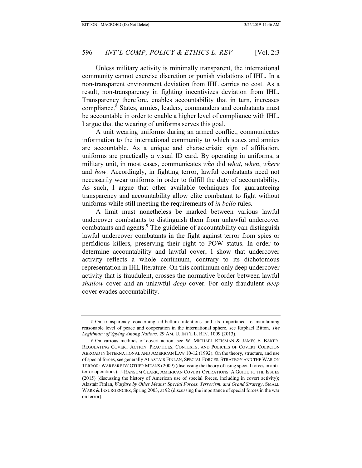Unless military activity is minimally transparent, the international community cannot exercise discretion or punish violations of IHL. In a non-transparent environment deviation from IHL carries no cost. As a result, non-transparency in fighting incentivizes deviation from IHL. Transparency therefore, enables accountability that in turn, increases compliance.<sup>8</sup> States, armies, leaders, commanders and combatants must be accountable in order to enable a higher level of compliance with IHL. I argue that the wearing of uniforms serves this goal.

A unit wearing uniforms during an armed conflict, communicates information to the international community to which states and armies are accountable. As a unique and characteristic sign of affiliation, uniforms are practically a visual ID card. By operating in uniforms, a military unit, in most cases, communicates *who* did *what*, *when*, *where* and *how*. Accordingly, in fighting terror, lawful combatants need not necessarily wear uniforms in order to fulfill the duty of accountability. As such, I argue that other available techniques for guaranteeing transparency and accountability allow elite combatant to fight without uniforms while still meeting the requirements of *in bello* rules.

A limit must nonetheless be marked between various lawful undercover combatants to distinguish them from unlawful undercover combatants and agents.<sup>9</sup> The guideline of accountability can distinguish lawful undercover combatants in the fight against terror from spies or perfidious killers, preserving their right to POW status. In order to determine accountability and lawful cover, I show that undercover activity reflects a whole continuum, contrary to its dichotomous representation in IHL literature. On this continuum only deep undercover activity that is fraudulent, crosses the normative border between lawful *shallow* cover and an unlawful *deep* cover. For only fraudulent *deep* cover evades accountability.

<sup>8</sup> On transparency concerning ad-bellum intentions and its importance to maintaining reasonable level of peace and cooperation in the international sphere, see Raphael Bitton, *The Legitimacy of Spying Among Nations*, 29 AM. U. INT'L L. REV. 1009 (2013).

<sup>9</sup> On various methods of covert action, see W. MICHAEL REISMAN & JAMES E. BAKER, REGULATING COVERT ACTION: PRACTICES, CONTEXTS, AND POLICIES OF COVERT COERCION ABROAD IN INTERNATIONAL AND AMERICAN LAW 10-12 (1992). On the theory, structure, and use of special forces, see generally ALASTAIR FINLAN, SPECIAL FORCES, STRATEGY AND THE WAR ON TERROR: WARFARE BY OTHER MEANS (2009) (discussing the theory of using special forces in antiterror operations); J. RANSOM CLARK, AMERICAN COVERT OPERATIONS: A GUIDE TO THE ISSUES (2015) (discussing the history of American use of special forces, including in covert activity); Alastair Finlan, *Warfare by Other Means: Special Forces, Terrorism, and Grand Strategy*, SMALL WARS & INSURGENCIES, Spring 2003, at 92 (discussing the importance of special forces in the war on terror).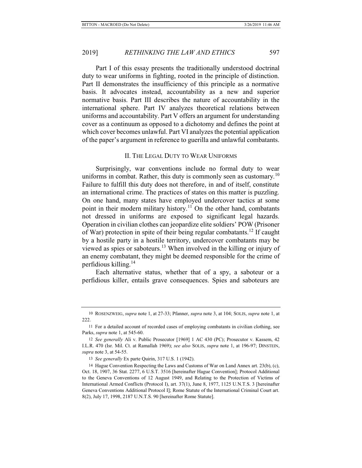Part I of this essay presents the traditionally understood doctrinal duty to wear uniforms in fighting, rooted in the principle of distinction. Part II demonstrates the insufficiency of this principle as a normative basis. It advocates instead, accountability as a new and superior normative basis. Part III describes the nature of accountability in the international sphere. Part IV analyzes theoretical relations between uniforms and accountability. Part V offers an argument for understanding cover as a continuum as opposed to a dichotomy and defines the point at which cover becomes unlawful. Part VI analyzes the potential application of the paper's argument in reference to guerilla and unlawful combatants.

#### II. THE LEGAL DUTY TO WEAR UNIFORMS

Surprisingly, war conventions include no formal duty to wear uniforms in combat. Rather, this duty is commonly seen as customary.<sup>10</sup> Failure to fulfill this duty does not therefore, in and of itself, constitute an international crime. The practices of states on this matter is puzzling. On one hand, many states have employed undercover tactics at some point in their modern military history.<sup>11</sup> On the other hand, combatants not dressed in uniforms are exposed to significant legal hazards. Operation in civilian clothes can jeopardize elite soldiers' POW (Prisoner of War) protection in spite of their being regular combatants.12 If caught by a hostile party in a hostile territory, undercover combatants may be viewed as spies or saboteurs.13 When involved in the killing or injury of an enemy combatant, they might be deemed responsible for the crime of perfidious killing.<sup>14</sup>

Each alternative status, whether that of a spy, a saboteur or a perfidious killer, entails grave consequences. Spies and saboteurs are

<sup>10</sup> ROSENZWEIG, *supra* note 1, at 27-33; Pfanner, *supra* note 3, at 104; SOLIS, *supra* note 1, at 222.

<sup>11</sup> For a detailed account of recorded cases of employing combatants in civilian clothing, see Parks, *supra* note 1, at 545-60.

<sup>12</sup> *See generally* Ali v. Public Prosecutor [1969] 1 AC 430 (PC); Prosecutor v. Kassem, 42 I.L.R. 470 (Isr. Mil. Ct. at Ramallah 1969); *see also* SOLIS, *supra* note 1, at 196-97; DINSTEIN, *supra* note 3, at 54-55.

<sup>13</sup> *See generally* Ex parte Quirin, 317 U.S. 1 (1942).

<sup>14</sup> Hague Convention Respecting the Laws and Customs of War on Land Annex art. 23(b), (c), Oct. 18, 1907, 36 Stat. 2277, 6 U.S.T. 3516 [hereinafter Hague Convention]; Protocol Additional to the Geneva Conventions of 12 August 1949, and Relating to the Protection of Victims of International Armed Conflicts (Protocol I), art. 37(1), June 8, 1977, 1125 U.N.T.S. 3 [hereinafter Geneva Conventions Additional Protocol I]; Rome Statute of the International Criminal Court art. 8(2), July 17, 1998, 2187 U.N.T.S. 90 [hereinafter Rome Statute].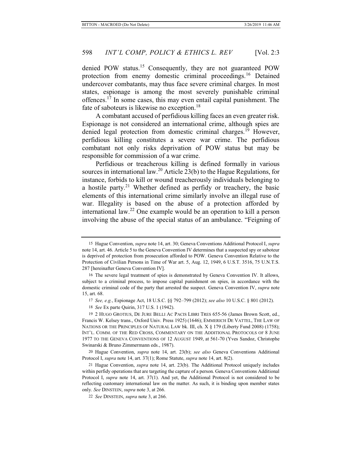denied POW status.<sup>15</sup> Consequently, they are not guaranteed POW protection from enemy domestic criminal proceedings.<sup>16</sup> Detained undercover combatants, may thus face severe criminal charges. In most states, espionage is among the most severely punishable criminal offences.<sup>17</sup> In some cases, this may even entail capital punishment. The fate of saboteurs is likewise no exception.<sup>18</sup>

A combatant accused of perfidious killing faces an even greater risk. Espionage is not considered an international crime, although spies are denied legal protection from domestic criminal charges.<sup>19</sup> However, perfidious killing constitutes a severe war crime. The perfidious combatant not only risks deprivation of POW status but may be responsible for commission of a war crime.

Perfidious or treacherous killing is defined formally in various sources in international law.<sup>20</sup> Article 23(b) to the Hague Regulations, for instance, forbids to kill or wound treacherously individuals belonging to a hostile party.21 Whether defined as perfidy or treachery, the basic elements of this international crime similarly involve an illegal ruse of war. Illegality is based on the abuse of a protection afforded by international law.22 One example would be an operation to kill a person involving the abuse of the special status of an ambulance. "Feigning of

<sup>15</sup> Hague Convention, *supra* note 14, art. 30; Geneva Conventions Additional Protocol I, *supra* note 14, art. 46. Article 5 to the Geneva Convention IV determines that a suspected spy or saboteur is deprived of protection from prosecution afforded to POW. Geneva Convention Relative to the Protection of Civilian Persons in Time of War art. 5, Aug. 12, 1949, 6 U.S.T. 3516, 75 U.N.T.S. 287 [hereinafter Geneva Convention IV].

<sup>16</sup> The severe legal treatment of spies is demonstrated by Geneva Convention IV. It allows, subject to a criminal process, to impose capital punishment on spies, in accordance with the domestic criminal code of the party that arrested the suspect. Geneva Convention IV, *supra* note 15, art. 68.

<sup>17</sup> *See, e.g.*, Espionage Act, 18 U.S.C. §§ 792–799 (2012); *see also* 10 U.S.C. § 801 (2012).

<sup>18</sup> *See* Ex parte Quirin, 317 U.S. 1 (1942).

<sup>19 2</sup> HUGO GROTIUS, DE JURE BELLI AC PACIS LIBRI TRES 655-56 (James Brown Scott, ed., Francis W. Kelsey trans., Oxford Univ. Press 1925) (1646); EMMERICH DE VATTEL, THE LAW OF NATIONS OR THE PRINCIPLES OF NATURAL LAW bk. III, ch. X § 179 (Liberty Fund 2008) (1758); INT'L. COMM. OF THE RED CROSS, COMMENTARY ON THE ADDITIONAL PROTOCOLS OF 8 JUNE 1977 TO THE GENEVA CONVENTIONS OF 12 AUGUST 1949, at 561-70 (Yves Sandoz, Christophe Swinarski & Bruno Zimmermann eds., 1987).

<sup>20</sup> Hague Convention, *supra* note 14, art. 23(b); *see also* Geneva Conventions Additional Protocol I, *supra* note 14, art. 37(1); Rome Statute, *supra* note 14, art. 8(2).

<sup>21</sup> Hague Convention, *supra* note 14, art. 23(b). The Additional Protocol uniquely includes within perfidy operations that are targeting the capture of a person. Geneva Conventions Additional Protocol I, *supra* note 14, art. 37(1). And yet, the Additional Protocol is not considered to be reflecting customary international law on the matter. As such, it is binding upon member states only. *See* DINSTEIN, *supra* note 3, at 266.

<sup>22</sup> *See* DINSTEIN, *supra* note 3, at 266.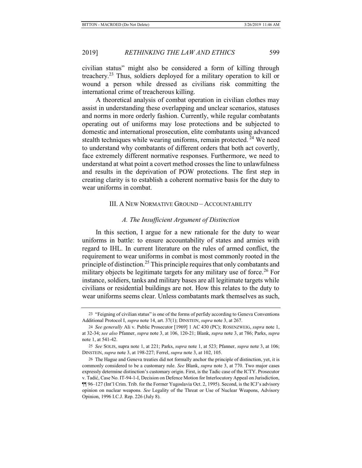civilian status" might also be considered a form of killing through treachery.23 Thus, soldiers deployed for a military operation to kill or wound a person while dressed as civilians risk committing the international crime of treacherous killing.

A theoretical analysis of combat operation in civilian clothes may assist in understanding these overlapping and unclear scenarios, statuses and norms in more orderly fashion. Currently, while regular combatants operating out of uniforms may lose protections and be subjected to domestic and international prosecution, elite combatants using advanced stealth techniques while wearing uniforms, remain protected. <sup>24</sup> We need to understand why combatants of different orders that both act covertly, face extremely different normative responses. Furthermore, we need to understand at what point a covert method crosses the line to unlawfulness and results in the deprivation of POW protections. The first step in creating clarity is to establish a coherent normative basis for the duty to wear uniforms in combat.

# III. A NEW NORMATIVE GROUND – ACCOUNTABILITY

# *A. The Insufficient Argument of Distinction*

In this section, I argue for a new rationale for the duty to wear uniforms in battle: to ensure accountability of states and armies with regard to IHL. In current literature on the rules of armed conflict, the requirement to wear uniforms in combat is most commonly rooted in the principle of distinction.<sup>25</sup> This principle requires that only combatants and military objects be legitimate targets for any military use of force.<sup>26</sup> For instance, soldiers, tanks and military bases are all legitimate targets while civilians or residential buildings are not. How this relates to the duty to wear uniforms seems clear. Unless combatants mark themselves as such,

<sup>23</sup> "Feigning of civilian status" is one of the forms of perfidy according to Geneva Conventions Additional Protocol I, *supra* note 14, art. 37(1); DINSTEIN, *supra* note 3, at 267.

<sup>24</sup> *See generally* Ali v. Public Prosecutor [1969] 1 AC 430 (PC); ROSENZWEIG, *supra* note 1, at 32-34; *see also* Pfanner, *supra* note 3, at 106, 120-21; Blank, *supra* note 3, at 786; Parks, *supra*  note 1, at 541-42.

<sup>25</sup> *See* SOLIS, supra note 1, at 221; Parks, *supra* note 1, at 523; Pfanner, *supra* note 3, at 106; DINSTEIN, *supra* note 3, at 198-227; Ferrel, *supra* note 3, at 102, 105.

<sup>26</sup> The Hague and Geneva treaties did not formally anchor the principle of distinction, yet, it is commonly considered to be a customary rule. *See* Blank, *supra* note 3, at 770. Two major cases expressly determine distinction's customary origin. First, is the Tadic case of the ICTY. Prosecutor v. Tadić, Case No. IT-94-1-I, Decision on Defence Motion for Interlocutory Appeal on Jurisdiction, ¶¶ 96–127 (Int'l Crim. Trib. for the Former Yugoslavia Oct. 2, 1995). Second, is the ICJ's advisory opinion on nuclear weapons. *See* Legality of the Threat or Use of Nuclear Weapons, Advisory Opinion, 1996 I.C.J. Rep. 226 (July 8).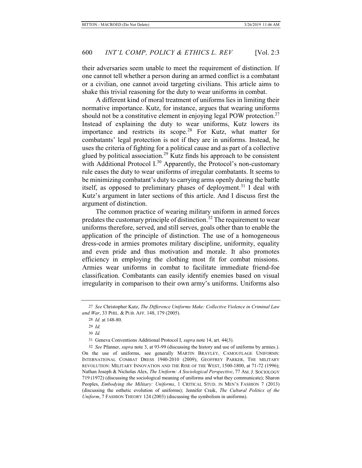their adversaries seem unable to meet the requirement of distinction. If one cannot tell whether a person during an armed conflict is a combatant or a civilian, one cannot avoid targeting civilians. This article aims to shake this trivial reasoning for the duty to wear uniforms in combat.

A different kind of moral treatment of uniforms lies in limiting their normative importance. Kutz, for instance, argues that wearing uniforms should not be a constitutive element in enjoying legal POW protection.<sup>27</sup> Instead of explaining the duty to wear uniforms, Kutz lowers its importance and restricts its scope.<sup>28</sup> For Kutz, what matter for combatants' legal protection is not if they are in uniforms. Instead, he uses the criteria of fighting for a political cause and as part of a collective glued by political association.<sup>29</sup> Kutz finds his approach to be consistent with Additional Protocol I.<sup>30</sup> Apparently, the Protocol's non-customary rule eases the duty to wear uniforms of irregular combatants. It seems to be minimizing combatant's duty to carrying arms openly during the battle itself, as opposed to preliminary phases of deployment.<sup>31</sup> I deal with Kutz's argument in later sections of this article. And I discuss first the argument of distinction.

The common practice of wearing military uniform in armed forces predates the customary principle of distinction.<sup>32</sup> The requirement to wear uniforms therefore, served, and still serves, goals other than to enable the application of the principle of distinction. The use of a homogeneous dress-code in armies promotes military discipline, uniformity, equality and even pride and thus motivation and morale. It also promotes efficiency in employing the clothing most fit for combat missions. Armies wear uniforms in combat to facilitate immediate friend-foe classification. Combatants can easily identify enemies based on visual irregularity in comparison to their own army's uniforms. Uniforms also

<sup>27</sup> *See* Christopher Kutz, *The Difference Uniforms Make: Collective Violence in Criminal Law and War*, 33 PHIL. & PUB. AFF. 148, 179 (2005).

<sup>28</sup> *Id.* at 148-80.

<sup>29</sup> *Id.*

<sup>30</sup> *Id.*

<sup>31</sup> Geneva Conventions Additional Protocol I, *supra* note 14, art. 44(3).

<sup>32</sup> *See* Pfanner, *supra* note 3, at 93-99 (discussing the history and use of uniforms by armies.). On the use of uniforms, see generally MARTIN BRAYLEY, CAMOUFLAGE UNIFORMS: INTERNATIONAL COMBAT DRESS 1940-2010 (2009); GEOFFREY PARKER, THE MILITARY REVOLUTION: MILITARY INNOVATION AND THE RISE OF THE WEST, 1500-1800, at 71-72 (1996); Nathan Joseph & Nicholas Alex, *The Uniform: A Sociological Perspective*, 77 AM. J. SOCIOLOGY 719 (1972) (discussing the sociological meaning of uniforms and what they communicate); Sharon Peoples, *Embodying the Military: Uniforms*, 1 CRITICAL STUD. IN MEN'S FASHION 7 (2013) (discussing the esthetic evolution of uniforms); Jennifer Craik, *The Cultural Politics of the Uniform*, 7 FASHION THEORY 124 (2003) (discussing the symbolism in uniforms).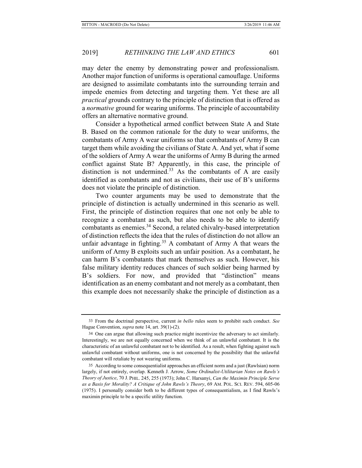may deter the enemy by demonstrating power and professionalism. Another major function of uniforms is operational camouflage. Uniforms are designed to assimilate combatants into the surrounding terrain and impede enemies from detecting and targeting them. Yet these are all *practical* grounds contrary to the principle of distinction that is offered as a *normative* ground for wearing uniforms. The principle of accountability offers an alternative normative ground.

Consider a hypothetical armed conflict between State A and State B. Based on the common rationale for the duty to wear uniforms, the combatants of Army A wear uniforms so that combatants of Army B can target them while avoiding the civilians of State A. And yet, what if some of the soldiers of Army A wear the uniforms of Army B during the armed conflict against State B? Apparently, in this case, the principle of distinction is not undermined.<sup>33</sup> As the combatants of  $\overline{A}$  are easily identified as combatants and not as civilians, their use of B's uniforms does not violate the principle of distinction.

Two counter arguments may be used to demonstrate that the principle of distinction is actually undermined in this scenario as well. First, the principle of distinction requires that one not only be able to recognize a combatant as such, but also needs to be able to identify combatants as enemies.34 Second, a related chivalry-based interpretation of distinction reflects the idea that the rules of distinction do not allow an unfair advantage in fighting.<sup>35</sup> A combatant of Army A that wears the uniform of Army B exploits such an unfair position. As a combatant, he can harm B's combatants that mark themselves as such. However, his false military identity reduces chances of such soldier being harmed by B's soldiers. For now, and provided that "distinction" means identification as an enemy combatant and not merely as a combatant, then this example does not necessarily shake the principle of distinction as a

<sup>33</sup> From the doctrinal perspective, current *in bello* rules seem to prohibit such conduct. *See* Hague Convention, *supra* note 14, art. 39(1)-(2).

<sup>34</sup> One can argue that allowing such practice might incentivize the adversary to act similarly. Interestingly, we are not equally concerned when we think of an unlawful combatant. It is the characteristic of an unlawful combatant not to be identified. As a result, when fighting against such unlawful combatant without uniforms, one is not concerned by the possibility that the unlawful combatant will retaliate by not wearing uniforms.

<sup>35</sup> According to some consequentialist approaches an efficient norm and a just (Rawlsian) norm largely, if not entirely, overlap. Kenneth J. Arrow, *Some Ordinalist-Utilitarian Notes on Rawls's Theory of Justice*, 70 J. PHIL. 245, 255 (1973); John C. Harsanyi, *Can the Maximin Principle Serve as a Basis for Morality? A Critique of John Rawls's Theory*, 69 AM. POL. SCI. REV. 594, 605-06 (1975). I personally consider both to be different types of consequentialism, as I find Rawls's maximin principle to be a specific utility function.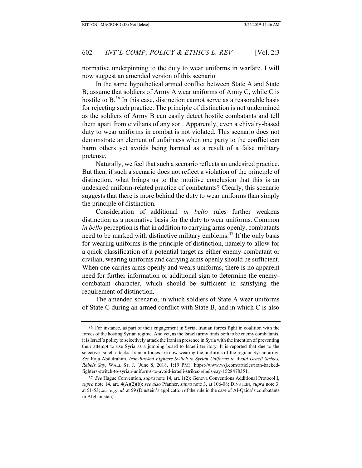normative underpinning to the duty to wear uniforms in warfare. I will now suggest an amended version of this scenario.

In the same hypothetical armed conflict between State A and State B, assume that soldiers of Army A wear uniforms of Army C, while C is hostile to  $B^{36}$  In this case, distinction cannot serve as a reasonable basis for rejecting such practice. The principle of distinction is not undermined as the soldiers of Army B can easily detect hostile combatants and tell them apart from civilians of any sort. Apparently, even a chivalry-based duty to wear uniforms in combat is not violated. This scenario does not demonstrate an element of unfairness when one party to the conflict can harm others yet avoids being harmed as a result of a false military pretense.

Naturally, we feel that such a scenario reflects an undesired practice. But then, if such a scenario does not reflect a violation of the principle of distinction, what brings us to the intuitive conclusion that this is an undesired uniform-related practice of combatants? Clearly, this scenario suggests that there is more behind the duty to wear uniforms than simply the principle of distinction.

Consideration of additional *in bello* rules further weakens distinction as a normative basis for the duty to wear uniforms. Common *in bello* perception is that in addition to carrying arms openly, combatants need to be marked with distinctive military emblems.<sup>37</sup> If the only basis for wearing uniforms is the principle of distinction, namely to allow for a quick classification of a potential target as either enemy-combatant or civilian, wearing uniforms and carrying arms openly should be sufficient. When one carries arms openly and wears uniforms, there is no apparent need for further information or additional sign to determine the enemycombatant character, which should be sufficient in satisfying the requirement of distinction.

The amended scenario, in which soldiers of State A wear uniforms of State C during an armed conflict with State B, and in which C is also

<sup>36</sup> For instance, as part of their engagement in Syria, Iranian forces fight in coalition with the forces of the hosting Syrian regime. And yet, as the Israeli army finds both to be enemy combatants, it is Israel's policy to selectively attack the Iranian presence in Syria with the intention of preventing their attempt to use Syria as a jumping board to Israeli territory. It is reported that due to the selective Israeli attacks, Iranian forces are now wearing the uniforms of the regular Syrian army*. See* Raja Abdulrahim, *Iran-Backed Fighters Switch to Syrian Uniforms to Avoid Israeli Strikes, Rebels Say*, WALL ST. J. (June 8, 2018, 1:19 PM), https://www.wsj.com/articles/iran-backedfighters-switch-to-syrian-uniforms-to-avoid-israeli-strikes-rebels-say-1528478351.

<sup>37</sup> *See* Hague Convention, *supra* note 14, art. 1(2); Geneva Conventions Additional Protocol I, *supra* note 14, art. 4(A)(2)(b); *see also* Pfanner, *supra* note 3, at 106-08; DINSTEIN, *supra* note 3, at 51-53; *see, e.g.*, *id.* at 59 (Dinstein's application of the rule in the case of Al-Qaida's combatants in Afghanistan).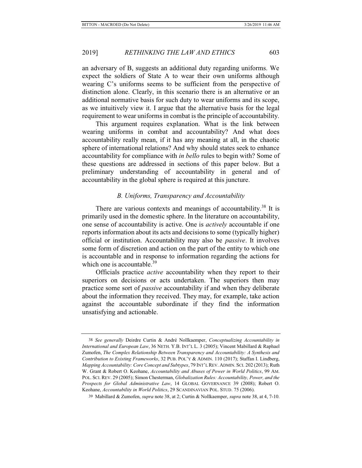an adversary of B, suggests an additional duty regarding uniforms. We expect the soldiers of State A to wear their own uniforms although wearing C's uniforms seems to be sufficient from the perspective of distinction alone. Clearly, in this scenario there is an alternative or an additional normative basis for such duty to wear uniforms and its scope, as we intuitively view it. I argue that the alternative basis for the legal requirement to wear uniforms in combat is the principle of accountability.

This argument requires explanation. What is the link between wearing uniforms in combat and accountability? And what does accountability really mean, if it has any meaning at all, in the chaotic sphere of international relations? And why should states seek to enhance accountability for compliance with *in bello* rules to begin with? Some of these questions are addressed in sections of this paper below. But a preliminary understanding of accountability in general and of accountability in the global sphere is required at this juncture.

# *B. Uniforms, Transparency and Accountability*

There are various contexts and meanings of accountability.<sup>38</sup> It is primarily used in the domestic sphere. In the literature on accountability, one sense of accountability is active. One is *actively* accountable if one reports information about its acts and decisions to some (typically higher) official or institution. Accountability may also be *passive*. It involves some form of discretion and action on the part of the entity to which one is accountable and in response to information regarding the actions for which one is accountable. $39$ 

Officials practice *active* accountability when they report to their superiors on decisions or acts undertaken. The superiors then may practice some sort of *passive* accountability if and when they deliberate about the information they received. They may, for example, take action against the accountable subordinate if they find the information unsatisfying and actionable.

<sup>38</sup> *See generally* Deirdre Curtin & André Nollkaemper, *Conceptualizing Accountability in International and European Law*, 36 NETH. Y.B. INT'L L. 3 (2005); Vincent Mabillard & Raphael Zumofen, *The Complex Relationship Between Transparency and Accountability: A Synthesis and Contribution to Existing Frameworks*, 32 PUB. POL'Y & ADMIN. 110 (2017); Staffan I. Lindberg, *Mapping Accountability: Core Concept and Subtypes*, 79 INT'L REV. ADMIN. SCI. 202 (2013); Ruth W. Grant & Robert O. Keohane, *Accountability and Abuses of Power in World Politics*, 99 AM. POL. SCI. REV. 29 (2005); Simon Chesterman, *Globalization Rules: Accountability, Power, and the Prospects for Global Administrative Law*, 14 GLOBAL GOVERNANCE 39 (2008); Robert O. Keohane, *Accountability in World Politics*, 29 SCANDINAVIAN POL. STUD. 75 (2006).

<sup>39</sup> Mabillard & Zumofen, *supra* note 38, at 2; Curtin & Nollkaemper, *supra* note 38, at 4, 7-10.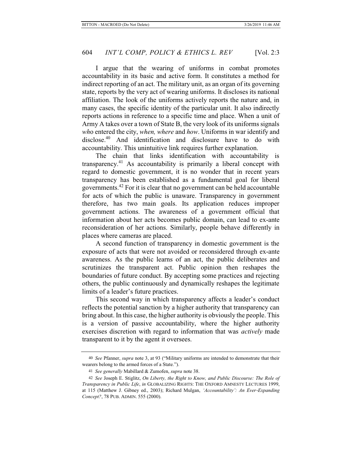I argue that the wearing of uniforms in combat promotes accountability in its basic and active form. It constitutes a method for indirect reporting of an act. The military unit, as an organ of its governing state, reports by the very act of wearing uniforms. It discloses its national affiliation. The look of the uniforms actively reports the nature and, in many cases, the specific identity of the particular unit. It also indirectly reports actions in reference to a specific time and place. When a unit of Army A takes over a town of State B, the very look of its uniforms signals *wh*o entered the city, *when, where* and *how*. Uniforms in war identify and disclose.<sup>40</sup> And identification and disclosure have to do with accountability. This unintuitive link requires further explanation.

The chain that links identification with accountability is transparency.41 As accountability is primarily a liberal concept with regard to domestic government, it is no wonder that in recent years transparency has been established as a fundamental goal for liberal governments.42 For it is clear that no government can be held accountable for acts of which the public is unaware. Transparency in government therefore, has two main goals. Its application reduces improper government actions. The awareness of a government official that information about her acts becomes public domain, can lead to ex-ante reconsideration of her actions. Similarly, people behave differently in places where cameras are placed.

A second function of transparency in domestic government is the exposure of acts that were not avoided or reconsidered through ex-ante awareness. As the public learns of an act, the public deliberates and scrutinizes the transparent act. Public opinion then reshapes the boundaries of future conduct. By accepting some practices and rejecting others, the public continuously and dynamically reshapes the legitimate limits of a leader's future practices.

This second way in which transparency affects a leader's conduct reflects the potential sanction by a higher authority that transparency can bring about. In this case, the higher authority is obviously the people. This is a version of passive accountability, where the higher authority exercises discretion with regard to information that was *actively* made transparent to it by the agent it oversees.

<sup>40</sup> *See* Pfanner, *supra* note 3, at 93 ("Military uniforms are intended to demonstrate that their wearers belong to the armed forces of a State.").

<sup>41</sup> *See generally* Mabillard & Zumofen, *supra* note 38.

<sup>42</sup> *See* Joseph E. Stiglitz, *On Liberty, the Right to Know, and Public Discourse: The Role of Transparency in Public Life*, *in* GLOBALIZING RIGHTS: THE OXFORD AMNESTY LECTURES 1999, at 115 (Matthew J. Gibney ed., 2003); Richard Mulgan, *'Accountability': An Ever-Expanding Concept?*, 78 PUB. ADMIN. 555 (2000).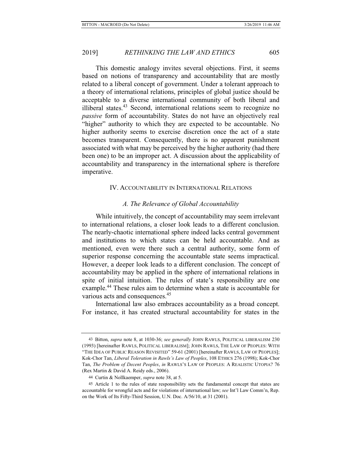This domestic analogy invites several objections. First, it seems based on notions of transparency and accountability that are mostly related to a liberal concept of government. Under a tolerant approach to a theory of international relations, principles of global justice should be acceptable to a diverse international community of both liberal and illiberal states.<sup>43</sup> Second, international relations seem to recognize no *passive* form of accountability. States do not have an objectively real "higher" authority to which they are expected to be accountable. No higher authority seems to exercise discretion once the act of a state becomes transparent. Consequently, there is no apparent punishment associated with what may be perceived by the higher authority (had there been one) to be an improper act. A discussion about the applicability of accountability and transparency in the international sphere is therefore imperative.

# IV. ACCOUNTABILITY IN INTERNATIONAL RELATIONS

### *A. The Relevance of Global Accountability*

While intuitively, the concept of accountability may seem irrelevant to international relations, a closer look leads to a different conclusion. The nearly-chaotic international sphere indeed lacks central government and institutions to which states can be held accountable. And as mentioned, even were there such a central authority, some form of superior response concerning the accountable state seems impractical. However, a deeper look leads to a different conclusion. The concept of accountability may be applied in the sphere of international relations in spite of initial intuition. The rules of state's responsibility are one example.44 These rules aim to determine when a state is accountable for various acts and consequences.<sup>45</sup>

International law also embraces accountability as a broad concept. For instance, it has created structural accountability for states in the

<sup>43</sup> Bitton, *supra* note 8, at 1030-36; *see generally* JOHN RAWLS, POLITICAL LIBERALISM 230 (1993) [hereinafter RAWLS, POLITICAL LIBERALISM]; JOHN RAWLS, THE LAW OF PEOPLES: WITH "THE IDEA OF PUBLIC REASON REVISITED" 59-61 (2001) [hereinafter RAWLS, LAW OF PEOPLES]; Kok-Chor Tan, *Liberal Toleration in Rawls's Law of Peoples*, 108 ETHICS 276 (1998); Kok-Chor Tan, *The Problem of Decent Peoples*, *in* RAWLS'S LAW OF PEOPLES: A REALISTIC UTOPIA? 76 (Rex Martin & David A. Reidy eds., 2006).

<sup>44</sup> Curtin & Nollkaemper, *supra* note 38, at 5.

<sup>45</sup> Article 1 to the rules of state responsibility sets the fundamental concept that states are accountable for wrongful acts and for violations of international law; *see* Int'l Law Comm'n, Rep. on the Work of Its Fifty-Third Session, U.N. Doc. A/56/10, at 31 (2001).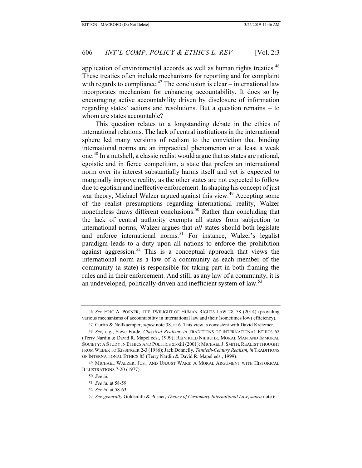application of environmental accords as well as human rights treaties.<sup>46</sup> These treaties often include mechanisms for reporting and for complaint with regards to compliance.<sup>47</sup> The conclusion is clear – international law incorporates mechanism for enhancing accountability. It does so by encouraging active accountability driven by disclosure of information regarding states' actions and resolutions. But a question remains – to whom are states accountable?

This question relates to a longstanding debate in the ethics of international relations. The lack of central institutions in the international sphere led many versions of realism to the conviction that binding international norms are an impractical phenomenon or at least a weak one.48 In a nutshell, a classic realist would argue that as states are rational, egoistic and in fierce competition, a state that prefers an international norm over its interest substantially harms itself and yet is expected to marginally improve reality, as the other states are not expected to follow due to egotism and ineffective enforcement. In shaping his concept of just war theory, Michael Walzer argued against this view.<sup>49</sup> Accepting some of the realist presumptions regarding international reality, Walzer nonetheless draws different conclusions.<sup>50</sup> Rather than concluding that the lack of central authority exempts all states from subjection to international norms, Walzer argues that *all* states should both legislate and enforce international norms.<sup>51</sup> For instance, Walzer's legalist paradigm leads to a duty upon all nations to enforce the prohibition against aggression.<sup>52</sup> This is a conceptual approach that views the international norm as a law of a community as each member of the community (a state) is responsible for taking part in both framing the rules and in their enforcement. And still, as any law of a community, it is an undeveloped, politically-driven and inefficient system of law.<sup>53</sup>

<sup>46</sup> *See* ERIC A. POSNER, THE TWILIGHT OF HUMAN RIGHTS LAW 28–58 (2014) (providing various mechanisms of accountability in international law and their (sometimes low) efficiency).

<sup>47</sup> Curtin & Nollkaemper, *supra* note 38, at 6. This view is consistent with David Kretzmer.

<sup>48</sup> *See,* e.g., Steve Forde, *Classical Realism*, *in* TRADITIONS OF INTERNATIONAL ETHICS 62 (Terry Nardin & David R. Mapel eds., 1999); REINHOLD NIEBUHR, MORAL MAN AND IMMORAL SOCIETY: A STUDY IN ETHICS AND POLITICS xi-xiii (2001); MICHAEL J. SMITH, REALIST THOUGHT FROM WEBER TO KISSINGER 2-3 (1986); Jack Donnelly, *Tentieth-Century Realism*, *in* TRADITIONS OF INTERNATIONAL ETHICS 85 (Terry Nardin & David R. Mapel eds., 1999).

<sup>49</sup> MICHAEL WALZER, JUST AND UNJUST WARS: A MORAL ARGUMENT WITH HISTORICAL ILLUSTRATIONS 7-20 (1977).

<sup>50</sup> *See id.*

<sup>51</sup> *See id.* at 58-59.

<sup>52</sup> *See id*. at 58-63.

<sup>53</sup> *See generally* Goldsmith & Posner, *Theory of Customary International Law*, *supra* note 6.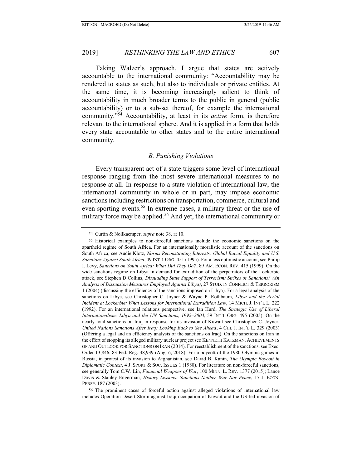Taking Walzer's approach, I argue that states are actively accountable to the international community: "Accountability may be rendered to states as such, but also to individuals or private entities. At the same time, it is becoming increasingly salient to think of accountability in much broader terms to the public in general (public accountability) or to a sub-set thereof, for example the international community."54 Accountability, at least in its *active* form, is therefore relevant to the international sphere. And it is applied in a form that holds every state accountable to other states and to the entire international community.

### *B. Punishing Violations*

Every transparent act of a state triggers some level of international response ranging from the most severe international measures to no response at all. In response to a state violation of international law, the international community in whole or in part, may impose economic sanctions including restrictions on transportation, commerce, cultural and even sporting events.<sup>55</sup> In extreme cases, a military threat or the use of military force may be applied.<sup>56</sup> And yet, the international community or

56 The prominent cases of forceful action against alleged violations of international law includes Operation Desert Storm against Iraqi occupation of Kuwait and the US-led invasion of

<sup>54</sup> Curtin & Nollkaemper, *supra* note 38, at 10.

<sup>55</sup> Historical examples to non-forceful sanctions include the economic sanctions on the apartheid regime of South Africa. For an internationally moralistic account of the sanctions on South Africa, see Audie Klotz, *Norms Reconstituting Interests: Global Racial Equality and U.S. Sanctions Against South Africa*, 49 INT'L ORG. 451 (1995). For a less optimistic account, see Philip I. Levy, *Sanctions on South Africa: What Did They Do?*, 89 AM. ECON. REV. 415 (1999). On the wide sanctions regime on Libya in demand for extradition of the perpetrators of the Lockerbie attack, see Stephen D Collins, *Dissuading State Support of Terrorism: Strikes or Sanctions? (An Analysis of Dissuasion Measures Employed Against Libya)*, 27 STUD. IN CONFLICT & TERRORISM 1 (2004) (discussing the efficiency of the sanctions imposed on Libya). For a legal analysis of the sanctions on Libya, see Christopher C. Joyner & Wayne P. Rothbaum, *Libya and the Aerial Incident at Lockerbie: What Lessons for International Extradition Law*, 14 MICH. J. INT'L L. 222 (1992). For an international relations perspective, see Ian Hurd, *The Strategic Use of Liberal Internationalism: Libya and the UN Sanctions, 1992–2003*, 59 INT'L ORG. 495 (2005). On the nearly total sanctions on Iraq in response for its invasion of Kuwait see Christopher C. Joyner, *United Nations Sanctions After Iraq: Looking Back to See Ahead*, 4 CHI. J. INT'L L. 329 (2003) (Offering a legal and an efficiency analysis of the sanctions on Iraq). On the sanctions on Iran in the effort of stopping its alleged military nuclear project see KENNETH KATZMAN, ACHIEVEMENTS OF AND OUTLOOK FOR SANCTIONS ON IRAN (2014). For reestablishment of the sanctions, see Exec. Order 13,846, 83 Fed. Reg. 38,939 (Aug. 6, 2018). For a boycott of the 1980 Olympic games in Russia, in protest of its invasion to Afghanistan, see David B. Kanin, *The Olympic Boycott in Diplomatic Context*, 4 J. SPORT & SOC. ISSUES 1 (1980). For literature on non-forceful sanctions, see generally Tom C.W. Lin, *Financial Weapons of War*, 100 MINN. L. REV. 1377 (2015); Lance Davis & Stanley Engerman, *History Lessons: Sanctions-Neither War Nor Peace*, 17 J. ECON. PERSP. 187 (2003).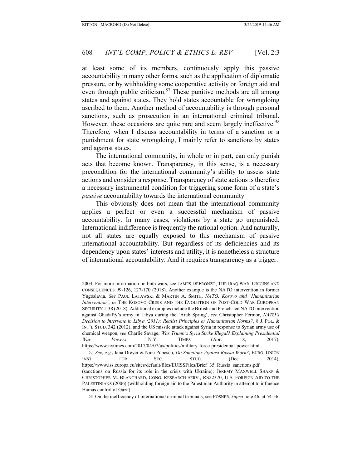at least some of its members, continuously apply this passive accountability in many other forms, such as the application of diplomatic pressure, or by withholding some cooperative activity or foreign aid and even through public criticism.<sup>57</sup> These punitive methods are all among states and against states. They hold states accountable for wrongdoing ascribed to them. Another method of accountability is through personal sanctions, such as prosecution in an international criminal tribunal. However, these occasions are quite rare and seem largely ineffective.<sup>58</sup> Therefore, when I discuss accountability in terms of a sanction or a punishment for state wrongdoing, I mainly refer to sanctions by states and against states.

The international community, in whole or in part, can only punish acts that become known. Transparency, in this sense, is a necessary precondition for the international community's ability to assess state actions and consider a response. Transparency of state actions is therefore a necessary instrumental condition for triggering some form of a state's *passive* accountability towards the international community.

This obviously does not mean that the international community applies a perfect or even a successful mechanism of passive accountability. In many cases, violations by a state go unpunished. International indifference is frequently the rational option. And naturally, not all states are equally exposed to this mechanism of passive international accountability. But regardless of its deficiencies and its dependency upon states' interests and utility, it is nonetheless a structure of international accountability. And it requires transparency as a trigger.

<sup>2003.</sup> For more information on both wars, see JAMES DEFRONZO, THE IRAQ WAR: ORIGINS AND CONSEQUENCES 99-126, 127-170 (2018). Another example is the NATO intervention in former Yugoslavia. *See* PAUL LATAWSKI & MARTIN A. SMITH, *NATO, Kosovo and 'Humanitarian Intervention'*, *in* THE KOSOVO CRISIS AND THE EVOLUTION OF POST-COLD WAR EUROPEAN SECURITY 1-38 (2018). Additional examples include the British and French-led NATO intervention against Ghadaffy's army in Libya during the 'Arab Spring', *see* Christopher Fermor, *NATO's Decision to Intervene in Libya (2011): Realist Principles or Humanitarian Norms?*, 8 J. POL. & INT'L STUD. 342 (2012), and the US missile attack against Syria in response to Syrian army use of chemical weapon, *see* Charlie Savage, *Was Trump's Syria Strike Illegal? Explaining Presidential War Powers*, N.Y. TIMES (Apr. 8, 2017), https://www.nytimes.com/2017/04/07/us/politics/military-force-presidential-power.html.

<sup>57</sup> *See, e.g.*, Iana Dreyer & Nicu Popescu, *Do Sanctions Against Russia Work?*, EURO. UNION INST. FOR SEC. STUD. (Dec. 2014), https://www.iss.europa.eu/sites/default/files/EUISSFiles/Brief\_35\_Russia\_sanctions.pdf (sanctions on Russia for its role in the crisis with Ukraine); JEREMY MAXWELL SHARP & CHRISTOPHER M. BLANCHARD, CONG. RESEARCH SERV., RS22370, U.S. FOREIGN AID TO THE PALESTINIANS (2006) (withholding foreign aid to the Palestinian Authority in attempt to influence Hamas control of Gaza).

<sup>58</sup> On the inefficiency of international criminal tribunals, see POSNER, *supra* note 46, at 54-56.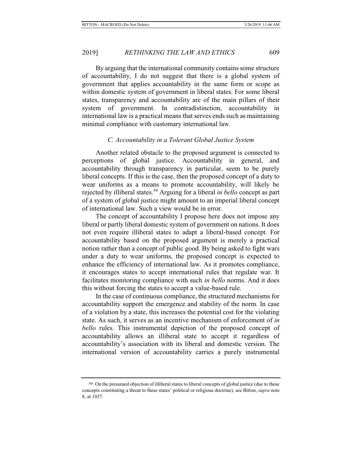# 2019] *RETHINKING THE LAW AND ETHICS* 609

By arguing that the international community contains some structure of accountability, I do not suggest that there is a global system of government that applies accountability in the same form or scope as within domestic system of government in liberal states. For some liberal states, transparency and accountability are of the main pillars of their system of government. In contradistinction, accountability in international law is a practical means that serves ends such as maintaining minimal compliance with customary international law.

# *C. Accountability in a Tolerant Global Justice System*

Another related obstacle to the proposed argument is connected to perceptions of global justice. Accountability in general, and accountability through transparency in particular, seem to be purely liberal concepts. If this is the case, then the proposed concept of a duty to wear uniforms as a means to promote accountability, will likely be rejected by illiberal states.59 Arguing for a liberal *in bello* concept as part of a system of global justice might amount to an imperial liberal concept of international law. Such a view would be in error.

The concept of accountability I propose here does not impose any liberal or partly liberal domestic system of government on nations. It does not even require illiberal states to adapt a liberal-based concept. For accountability based on the proposed argument is merely a practical notion rather than a concept of public good. By being asked to fight wars under a duty to wear uniforms, the proposed concept is expected to enhance the efficiency of international law. As it promotes compliance, it encourages states to accept international rules that regulate war. It facilitates monitoring compliance with such *in bello* norms. And it does this without forcing the states to accept a value-based rule.

In the case of continuous compliance, the structured mechanisms for accountability support the emergence and stability of the norm. In case of a violation by a state, this increases the potential cost for the violating state. As such, it serves as an incentive mechanism of enforcement of *in bello* rules. This instrumental depiction of the proposed concept of accountability allows an illiberal state to accept it regardless of accountability's association with its liberal and domestic version. The international version of accountability carries a purely instrumental

<sup>59</sup> On the presumed objection of illiberal states to liberal concepts of global justice (due to these concepts constituting a threat to these states' political or religious doctrine), see Bitton, *supra* note 8, at 1037.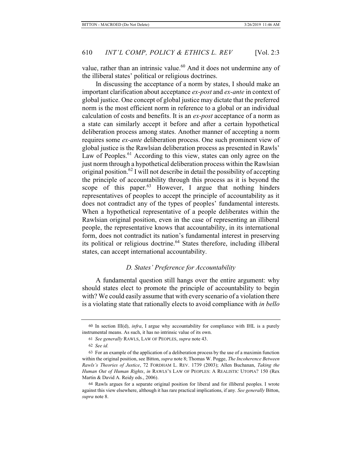value, rather than an intrinsic value.<sup>60</sup> And it does not undermine any of the illiberal states' political or religious doctrines.

In discussing the acceptance of a norm by states, I should make an important clarification about acceptance *ex-post* and *ex-ante* in context of global justice. One concept of global justice may dictate that the preferred norm is the most efficient norm in reference to a global or an individual calculation of costs and benefits. It is an *ex-post* acceptance of a norm as a state can similarly accept it before and after a certain hypothetical deliberation process among states. Another manner of accepting a norm requires some *ex-ante* deliberation process. One such prominent view of global justice is the Rawlsian deliberation process as presented in Rawls' Law of Peoples.<sup>61</sup> According to this view, states can only agree on the just norm through a hypothetical deliberation process within the Rawlsian original position.<sup>62</sup> I will not describe in detail the possibility of accepting the principle of accountability through this process as it is beyond the scope of this paper.<sup>63</sup> However, I argue that nothing hinders representatives of peoples to accept the principle of accountability as it does not contradict any of the types of peoples' fundamental interests. When a hypothetical representative of a people deliberates within the Rawlsian original position, even in the case of representing an illiberal people, the representative knows that accountability, in its international form, does not contradict its nation's fundamental interest in preserving its political or religious doctrine.<sup>64</sup> States therefore, including illiberal states, can accept international accountability.

# *D. States' Preference for Accountability*

A fundamental question still hangs over the entire argument: why should states elect to promote the principle of accountability to begin with? We could easily assume that with every scenario of a violation there is a violating state that rationally elects to avoid compliance with *in bello*

<sup>60</sup> In section III(d), *infra*, I argue why accountability for compliance with IHL is a purely instrumental means. As such, it has no intrinsic value of its own.

<sup>61</sup> *See generally* RAWLS, LAW OF PEOPLES, *supra* note 43.

<sup>62</sup> *See id.*

<sup>63</sup> For an example of the application of a deliberation process by the use of a maximin function within the original position, see Bitton, *supra* note 8; Thomas W. Pogge, *The Incoherence Between Rawls's Theories of Justice*, 72 FORDHAM L. REV. 1739 (2003); Allen Buchanan, *Taking the Human Out of Human Rights*, *in* RAWLS'S LAW OF PEOPLES: A REALISTIC UTOPIA? 150 (Rex Martin & David A. Reidy eds., 2006).

<sup>64</sup> Rawls argues for a separate original position for liberal and for illiberal peoples. I wrote against this view elsewhere, although it has rare practical implications, if any. *See generally* Bitton, *supra* note 8.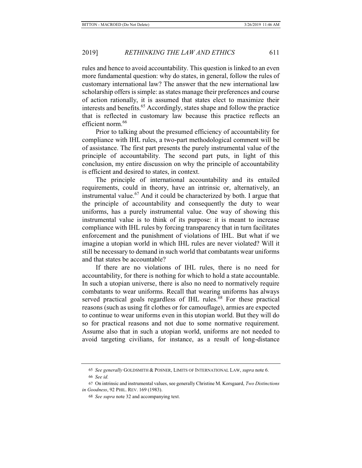rules and hence to avoid accountability. This question is linked to an even more fundamental question: why do states, in general, follow the rules of customary international law? The answer that the new international law scholarship offers is simple: as states manage their preferences and course of action rationally, it is assumed that states elect to maximize their interests and benefits.<sup>65</sup> Accordingly, states shape and follow the practice that is reflected in customary law because this practice reflects an efficient norm.<sup>66</sup>

Prior to talking about the presumed efficiency of accountability for compliance with IHL rules, a two-part methodological comment will be of assistance. The first part presents the purely instrumental value of the principle of accountability. The second part puts, in light of this conclusion, my entire discussion on why the principle of accountability is efficient and desired to states, in context.

The principle of international accountability and its entailed requirements, could in theory, have an intrinsic or, alternatively, an instrumental value.<sup>67</sup> And it could be characterized by both. I argue that the principle of accountability and consequently the duty to wear uniforms, has a purely instrumental value. One way of showing this instrumental value is to think of its purpose: it is meant to increase compliance with IHL rules by forcing transparency that in turn facilitates enforcement and the punishment of violations of IHL. But what if we imagine a utopian world in which IHL rules are never violated? Will it still be necessary to demand in such world that combatants wear uniforms and that states be accountable?

If there are no violations of IHL rules, there is no need for accountability, for there is nothing for which to hold a state accountable. In such a utopian universe, there is also no need to normatively require combatants to wear uniforms. Recall that wearing uniforms has always served practical goals regardless of IHL rules. $68$  For these practical reasons (such as using fit clothes or for camouflage), armies are expected to continue to wear uniforms even in this utopian world. But they will do so for practical reasons and not due to some normative requirement. Assume also that in such a utopian world, uniforms are not needed to avoid targeting civilians, for instance, as a result of long-distance

<sup>65</sup> *See generally* GOLDSMITH & POSNER, LIMITS OF INTERNATIONAL LAW, *supra* note 6.

<sup>66</sup> *See id.*

<sup>67</sup> On intrinsic and instrumental values, see generally Christine M. Korsgaard, *Two Distinctions in Goodness*, 92 PHIL. REV. 169 (1983).

<sup>68</sup> *See supra* note 32 and accompanying text.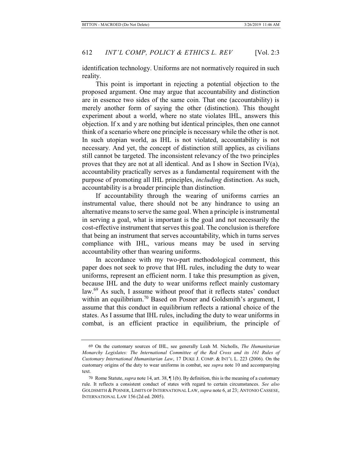identification technology. Uniforms are not normatively required in such reality.

This point is important in rejecting a potential objection to the proposed argument. One may argue that accountability and distinction are in essence two sides of the same coin. That one (accountability) is merely another form of saying the other (distinction). This thought experiment about a world, where no state violates IHL, answers this objection. If x and y are nothing but identical principles, then one cannot think of a scenario where one principle is necessary while the other is not. In such utopian world, as IHL is not violated, accountability is not necessary. And yet, the concept of distinction still applies, as civilians still cannot be targeted. The inconsistent relevancy of the two principles proves that they are not at all identical. And as I show in Section IV(a), accountability practically serves as a fundamental requirement with the purpose of promoting all IHL principles, *including* distinction. As such, accountability is a broader principle than distinction.

If accountability through the wearing of uniforms carries an instrumental value, there should not be any hindrance to using an alternative means to serve the same goal. When a principle is instrumental in serving a goal, what is important is the goal and not necessarily the cost-effective instrument that serves this goal. The conclusion is therefore that being an instrument that serves accountability, which in turns serves compliance with IHL, various means may be used in serving accountability other than wearing uniforms.

In accordance with my two-part methodological comment, this paper does not seek to prove that IHL rules, including the duty to wear uniforms, represent an efficient norm. I take this presumption as given, because IHL and the duty to wear uniforms reflect mainly customary law.<sup>69</sup> As such, I assume without proof that it reflects states' conduct within an equilibrium.<sup>70</sup> Based on Posner and Goldsmith's argument, I assume that this conduct in equilibrium reflects a rational choice of the states. As I assume that IHL rules, including the duty to wear uniforms in combat, is an efficient practice in equilibrium, the principle of

<sup>69</sup> On the customary sources of IHL, see generally Leah M. Nicholls, *The Humanitarian Monarchy Legislates: The International Committee of the Red Cross and its 161 Rules of Customary International Humanitarian Law*, 17 DUKE J. COMP. & INT'L L. 223 (2006). On the customary origins of the duty to wear uniforms in combat, see *supra* note 10 and accompanying text.

<sup>70</sup> Rome Statute, *supra* note 14, art. 38, ¶ 1(b). By definition, this is the meaning of a customary rule. It reflects a consistent conduct of states with regard to certain circumstances. *See also* GOLDSMITH & POSNER, LIMITS OF INTERNATIONAL LAW, *supra* note 6, at 23; ANTONIO CASSESE, INTERNATIONAL LAW 156 (2d ed. 2005).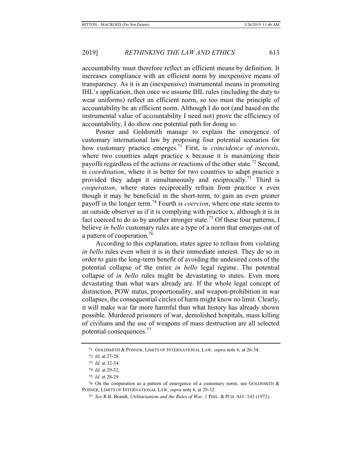accountability must therefore reflect an efficient means by definition. It increases compliance with an efficient norm by inexpensive means of transparency. As it is an (inexpensive) instrumental means in promoting IHL's application, then once we assume IHL rules (including the duty to wear uniforms) reflect an efficient norm, so too must the principle of accountability be an efficient norm. Although I do not (and based on the instrumental value of accountability I need not) prove the efficiency of accountability, I do show one potential path for doing so.

Posner and Goldsmith manage to explain the emergence of customary international law by proposing four potential scenarios for how customary practice emerges.<sup>71</sup> First, is *coincidence of interests*, where two countries adapt practice x because it is maximizing their payoffs regardless of the actions or reactions of the other state.<sup>72</sup> Second, is *coordination*, where it is better for two countries to adapt practice x provided they adapt it simultaneously and reciprocally.<sup>73</sup> Third is *cooperation*, where states reciprocally refrain from practice x even though it may be beneficial in the short-term, to gain an even greater payoff in the longer term.74 Fourth is *coercion*, where one state seems to an outside observer as if it is complying with practice x, although it is in fact coerced to do so by another stronger state.<sup>75</sup> Of these four patterns, I believe *in bello* customary rules are a type of a norm that emerges out of a pattern of cooperation.<sup>76</sup>

According to this explanation, states agree to refrain from violating *in bello* rules even when it is in their immediate interest. They do so in order to gain the long-term benefit of avoiding the undesired costs of the potential collapse of the entire *in bello* legal regime. The potential collapse of *in bello* rules might be devastating to states. Even more devastating than what wars already are. If the whole legal concept of distinction, POW status, proportionality, and weapon-prohibition in war collapses, the consequential circles of harm might know no limit. Clearly, it will make war far more harmful than what history has already shown possible. Murdered prisoners of war, demolished hospitals, mass killing of civilians and the use of weapons of mass destruction are all selected potential consequences.77

<sup>71</sup> GOLDSMITH & POSNER, LIMITS OF INTERNATIONAL LAW, *supra* note 6, at 26-34.

<sup>72</sup> *Id.* at 27-28.

<sup>73</sup> *Id.* at 32-34.

<sup>74</sup> *Id.* at 29-32.

<sup>75</sup> *Id.* at 28-29.

<sup>76</sup> On the cooperation as a pattern of emergence of a customary norm, see GOLDSMITH & POSNER, LIMITS OF INTERNATIONAL LAW, *supra* note 6, at 29-32.

<sup>77</sup> *See* R.B. Brandt, *Utilitarianism and the Rules of War*, 1 PHIL. & PUB. AFF. 145 (1972).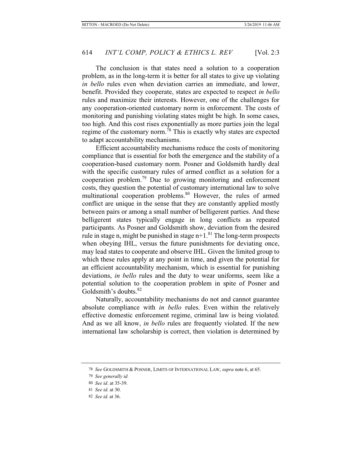The conclusion is that states need a solution to a cooperation problem, as in the long-term it is better for all states to give up violating *in bello* rules even when deviation carries an immediate, and lower, benefit. Provided they cooperate, states are expected to respect *in bello* rules and maximize their interests. However, one of the challenges for any cooperation-oriented customary norm is enforcement. The costs of monitoring and punishing violating states might be high. In some cases, too high. And this cost rises exponentially as more parties join the legal regime of the customary norm.<sup>78</sup> This is exactly why states are expected to adapt accountability mechanisms.

Efficient accountability mechanisms reduce the costs of monitoring compliance that is essential for both the emergence and the stability of a cooperation-based customary norm. Posner and Goldsmith hardly deal with the specific customary rules of armed conflict as a solution for a cooperation problem.79 Due to growing monitoring and enforcement costs, they question the potential of customary international law to solve multinational cooperation problems.<sup>80</sup> However, the rules of armed conflict are unique in the sense that they are constantly applied mostly between pairs or among a small number of belligerent parties. And these belligerent states typically engage in long conflicts as repeated participants. As Posner and Goldsmith show, deviation from the desired rule in stage n, might be punished in stage  $n+1$ .<sup>81</sup> The long-term prospects when obeying IHL, versus the future punishments for deviating once, may lead states to cooperate and observe IHL. Given the limited group to which these rules apply at any point in time, and given the potential for an efficient accountability mechanism, which is essential for punishing deviations, *in bello* rules and the duty to wear uniforms, seem like a potential solution to the cooperation problem in spite of Posner and Goldsmith's doubts.<sup>82</sup>

Naturally, accountability mechanisms do not and cannot guarantee absolute compliance with *in bello* rules. Even within the relatively effective domestic enforcement regime, criminal law is being violated. And as we all know, *in bello* rules are frequently violated. If the new international law scholarship is correct, then violation is determined by

<sup>78</sup> *See* GOLDSMITH & POSNER, LIMITS OF INTERNATIONAL LAW, *supra* note 6, at 65.

<sup>79</sup> *See generally id.*

<sup>80</sup> *See id*. at 35-39.

<sup>81</sup> *See id.* at 30.

<sup>82</sup> *See id.* at 36.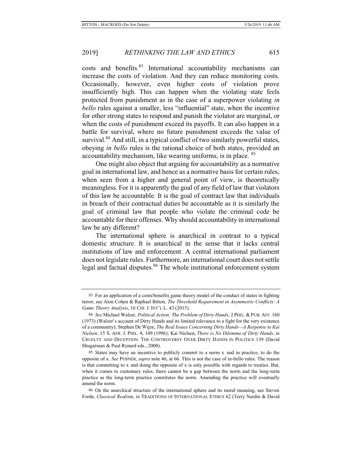costs and benefits.83 International accountability mechanisms can increase the costs of violation. And they can reduce monitoring costs. Occasionally, however, even higher costs of violation prove insufficiently high. This can happen when the violating state feels protected from punishment as in the case of a superpower violating *in bello* rules against a smaller, less "influential" state, when the incentive for other strong states to respond and punish the violator are marginal, or when the costs of punishment exceed its payoffs. It can also happen in a battle for survival, where no future punishment exceeds the value of survival.<sup>84</sup> And still, in a typical conflict of two similarly powerful states, obeying *in bello* rules is the rational choice of both states, provided an accountability mechanism, like wearing uniforms, is in place. <sup>85</sup>

One might also object that arguing for accountability as a normative goal in international law, and hence as a normative basis for certain rules, when seen from a higher and general point of view, is theoretically meaningless. For it is apparently the goal of any field of law that violators of this law be accountable. It is the goal of contract law that individuals in breach of their contractual duties be accountable as it is similarly the goal of criminal law that people who violate the criminal code be accountable for their offenses. Why should accountability in international law be any different?

The international sphere is anarchical in contrast to a typical domestic structure. It is anarchical in the sense that it lacks central institutions of law and enforcement. A central international parliament does not legislate rules. Furthermore, an international court does not settle legal and factual disputes.<sup>86</sup> The whole institutional enforcement system

<sup>83</sup> For an application of a costs/benefits game theory model of the conduct of states in fighting terror, see Alon Cohen & Raphael Bitton, *The Threshold Requirement in Asymmetric Conflicts: A Game Theory Analysis*, 16 CHI. J. INT'L L. 43 (2015).

<sup>84</sup> *See* Michael Walzer, *Political Action: The Problem of Dirty Hands*, 2 PHIL. & PUB. AFF. 160 (1973) (Walzer's account of Dirty Hands and its limited relevance to a fight for the very existence of a community); Stephen De Wijze, *The Real Issues Concerning Dirty Hands—A Response to Kai Nielsen*, 15 S. AFR. J. PHIL. 4, 149 (1996); Kai Nielsen, *There is No Dilemma of Dirty Hands*, *in* CRUELTY AND DECEPTION: THE CONTROVERSY OVER DIRTY DANDS IN POLITICS 139 (David Shugarman & Paul Rynard eds., 2000).

<sup>85</sup> States may have an incentive to publicly commit to a norm x and in practice, to do the opposite of x. *See* POSNER, *supra* note 46, at 66. This is not the case of in-bello rules. The reason is that committing to  $x$  and doing the opposite of  $x$  is only possible with regards to treaties. But, when it comes to customary rules, there cannot be a gap between the norm and the long-term practice as the long-term practice constitutes the norm. Amending the practice will eventually amend the norm.

<sup>86</sup> On the anarchical structure of the international sphere and its moral meaning, see Steven Forde, *Classical Realism*, *in* TRADITIONS OF INTERNATIONAL ETHICS 62 (Terry Nardin & David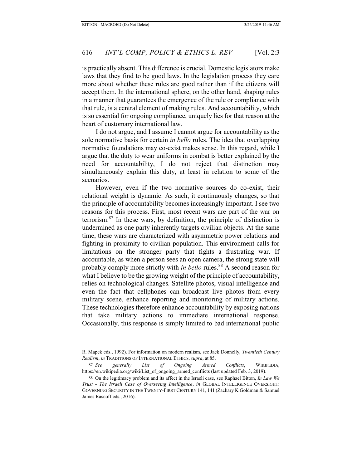is practically absent. This difference is crucial. Domestic legislators make laws that they find to be good laws. In the legislation process they care more about whether these rules are good rather than if the citizens will accept them. In the international sphere, on the other hand, shaping rules in a manner that guarantees the emergence of the rule or compliance with that rule, is a central element of making rules. And accountability, which is so essential for ongoing compliance, uniquely lies for that reason at the heart of customary international law.

I do not argue, and I assume I cannot argue for accountability as the sole normative basis for certain *in bello* rules. The idea that overlapping normative foundations may co-exist makes sense. In this regard, while I argue that the duty to wear uniforms in combat is better explained by the need for accountability, I do not reject that distinction may simultaneously explain this duty, at least in relation to some of the scenarios.

However, even if the two normative sources do co-exist, their relational weight is dynamic. As such, it continuously changes, so that the principle of accountability becomes increasingly important. I see two reasons for this process. First, most recent wars are part of the war on terrorism.87 In these wars, by definition, the principle of distinction is undermined as one party inherently targets civilian objects. At the same time, these wars are characterized with asymmetric power relations and fighting in proximity to civilian population. This environment calls for limitations on the stronger party that fights a frustrating war. If accountable, as when a person sees an open camera, the strong state will probably comply more strictly with *in bello* rules.<sup>88</sup> A second reason for what I believe to be the growing weight of the principle of accountability, relies on technological changes. Satellite photos, visual intelligence and even the fact that cellphones can broadcast live photos from every military scene, enhance reporting and monitoring of military actions. These technologies therefore enhance accountability by exposing nations that take military actions to immediate international response. Occasionally, this response is simply limited to bad international public

R. Mapek eds., 1992). For information on modern realism, see Jack Donnelly, *Twentieth Century Realism*, *in* TRADITIONS OF INTERNATIONAL ETHICS, *supra*, at 85.

<sup>87</sup> *See generally List of Ongoing Armed Conflicts*, WIKIPEDIA, https://en.wikipedia.org/wiki/List\_of\_ongoing\_armed\_conflicts (last updated Feb. 3, 2019).

<sup>88</sup> On the legitimacy problem and its affect in the Israeli case, see Raphael Bitton, *In Law We Trust - The Israeli Case of Overseeing Intelligence*, *in* GLOBAL INTELLIGENCE OVERSIGHT: GOVERNING SECURITY IN THE TWENTY-FIRST CENTURY 141, 141 (Zachary K Goldman & Samuel James Rascoff eds., 2016).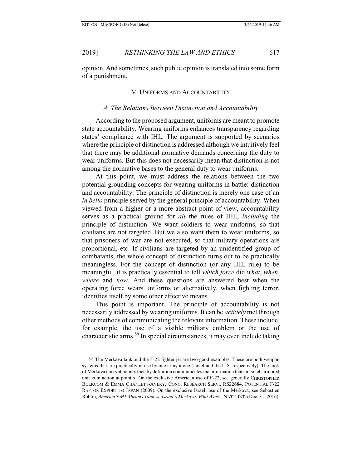opinion. And sometimes, such public opinion is translated into some form of a punishment.

# V. UNIFORMS AND ACCOUNTABILITY

# *A. The Relations Between Distinction and Accountability*

According to the proposed argument, uniforms are meant to promote state accountability. Wearing uniforms enhances transparency regarding states' compliance with IHL. The argument is supported by scenarios where the principle of distinction is addressed although we intuitively feel that there may be additional normative demands concerning the duty to wear uniforms. But this does not necessarily mean that distinction is not among the normative bases to the general duty to wear uniforms.

At this point, we must address the relations between the two potential grounding concepts for wearing uniforms in battle: distinction and accountability. The principle of distinction is merely one case of an *in bello* principle served by the general principle of accountability. When viewed from a higher or a more abstract point of view, accountability serves as a practical ground for *all* the rules of IHL, *including* the principle of distinction. We want soldiers to wear uniforms, so that civilians are not targeted. But we also want them to wear uniforms, so that prisoners of war are not executed, so that military operations are proportional, etc. If civilians are targeted by an unidentified group of combatants, the whole concept of distinction turns out to be practically meaningless. For the concept of distinction (or any IHL rule) to be meaningful, it is practically essential to tell *which force* did *what*, *when*, *where* and *how*. And these questions are answered best when the operating force wears uniforms or alternatively, when fighting terror, identifies itself by some other effective means.

This point is important. The principle of accountability is not necessarily addressed by wearing uniforms. It can be *actively* met through other methods of communicating the relevant information. These include, for example, the use of a visible military emblem or the use of characteristic arms.89 In special circumstances, it may even include taking

<sup>89</sup> The Merkava tank and the F-22 fighter jet are two good examples. These are both weapon systems that are practically in use by one army alone (Israel and the U.S. respectively). The look of Merkava tanks at point x then by definition communicates the information that an Israeli armored unit is in action at point x. On the exclusive American use of F-22, see generally CHRISTOPHER BOLKCOM & EMMA CHANLETT-AVERY, CONG. RESEARCH SERV., RS22684, POTENTIAL F-22 RAPTOR EXPORT TO JAPAN (2009). On the exclusive Israeli use of the Merkava, see Sebastien Roblin, *America's M1 Abrams Tank vs. Israel's Merkava: Who Wins?*, NAT'L INT. (Dec. 31, 2016),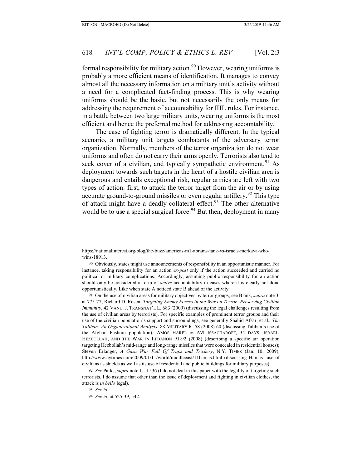formal responsibility for military action.<sup>90</sup> However, wearing uniforms is probably a more efficient means of identification. It manages to convey almost all the necessary information on a military unit's activity without a need for a complicated fact-finding process. This is why wearing uniforms should be the basic, but not necessarily the only means for addressing the requirement of accountability for IHL rules. For instance, in a battle between two large military units, wearing uniforms is the most efficient and hence the preferred method for addressing accountability.

The case of fighting terror is dramatically different. In the typical scenario, a military unit targets combatants of the adversary terror organization. Normally, members of the terror organization do not wear uniforms and often do not carry their arms openly. Terrorists also tend to seek cover of a civilian, and typically sympathetic environment.<sup>91</sup> As deployment towards such targets in the heart of a hostile civilian area is dangerous and entails exceptional risk, regular armies are left with two types of action: first, to attack the terror target from the air or by using accurate ground-to-ground missiles or even regular artillery.<sup>92</sup> This type of attack might have a deadly collateral effect.<sup>93</sup> The other alternative would be to use a special surgical force.<sup>94</sup> But then, deployment in many

91 On the use of civilian areas for military objectives by terror groups, see Blank, *supra* note 3, at 775-77; Richard D. Rosen, *Targeting Enemy Forces in the War on Terror: Preserving Civilian Immunity*, 42 VAND. J. TRANSNAT'L L. 683 (2009) (discussing the legal challenges resulting from the use of civilian areas by terrorists). For specific examples of prominent terror groups and their use of the civilian population's support and surroundings, see generally Shahid Afsar, et al., *The Taliban: An Organizational Analysis*, 88 MILITARY R. 58 (2008) 60 (discussing Taliban's use of the Afghan Pashtun population); AMOS HAREL & AVI ISSACHAROFF, 34 DAYS: ISRAEL, HEZBOLLAH, AND THE WAR IN LEBANON 91-92 (2008) (describing a specific air operation targeting Hezbollah's mid-range and long-range missiles that were concealed in residential houses); Steven Erlanger, *A Gaza War Full Of Traps and Trickery*, N.Y. TIMES (Jan. 10, 2009), http://www.nytimes.com/2009/01/11/world/middleeast/11hamas.html (discussing Hamas' use of civilians as shields as well as its use of residential and public buildings for military purposes).

92 *See* Parks, *supra* note 1, at 536 (I do not deal in this paper with the legality of targeting such terrorists. I do assume that other than the issue of deployment and fighting in civilian clothes, the attack is *in bello* legal).

93 *See id.* 94 *See id.* at 525-39, 542.

https://nationalinterest.org/blog/the-buzz/americas-m1-abrams-tank-vs-israels-merkava-whowins-18913.

<sup>90</sup> Obviously, states might use announcements of responsibility in an opportunistic manner. For instance, taking responsibility for an action *ex-post* only if the action succeeded and carried no political or military complications. Accordingly, assuming public responsibility for an action should only be considered a form of *active* accountability in cases where it is clearly not done opportunistically. Like when state A noticed state B ahead of the activity.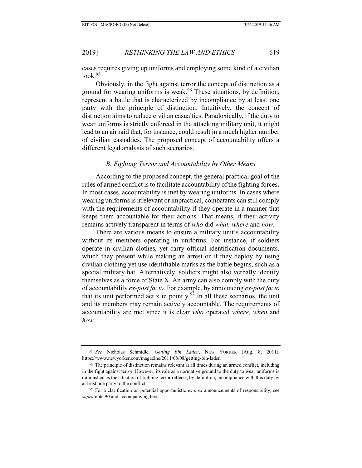cases requires giving up uniforms and employing some kind of a civilian look.<sup>95</sup>

Obviously, in the fight against terror the concept of distinction as a ground for wearing uniforms is weak.<sup>96</sup> These situations, by definition, represent a battle that is characterized by incompliance by at least one party with the principle of distinction. Intuitively, the concept of distinction aims to reduce civilian casualties. Paradoxically, if the duty to wear uniforms is strictly enforced in the attacking military unit, it might lead to an air raid that, for instance, could result in a much higher number of civilian casualties. The proposed concept of accountability offers a different legal analysis of such scenarios.

# *B. Fighting Terror and Accountability by Other Means*

According to the proposed concept, the general practical goal of the rules of armed conflict is to facilitate accountability of the fighting forces. In most cases, accountability is met by wearing uniforms. In cases where wearing uniforms is irrelevant or impractical, combatants can still comply with the requirements of accountability if they operate in a manner that keeps them accountable for their actions. That means, if their activity remains actively transparent in terms of *who* did *what, where* and *how*.

There are various means to ensure a military unit's accountability without its members operating in uniforms. For instance, if soldiers operate in civilian clothes, yet carry official identification documents, which they present while making an arrest or if they deploy by using civilian clothing yet use identifiable marks as the battle begins, such as a special military hat. Alternatively, soldiers might also verbally identify themselves as a force of State X. An army can also comply with the duty of accountability *ex-post facto*. For example, by announcing *ex-post facto*  that its unit performed act x in point y.<sup>97</sup> In all these scenarios, the unit and its members may remain actively accountable. The requirements of accountability are met since it is clear *who* operated *where, when* and *how*.

<sup>95</sup> *See* Nicholas Schmidle, *Getting Bin Laden*, NEW YORKER (Aug. 8, 2011), https://www.newyorker.com/magazine/2011/08/08/getting-bin-laden.

<sup>96</sup> The principle of distinction remains relevant at all times during an armed conflict, including in the fight against terror. However, its role as a normative ground to the duty to wear uniforms is diminished as the situation of fighting terror reflects, by definition, incompliance with this duty by at least one party to the conflict.

<sup>97</sup> For a clarification on potential opportunistic *ex-post* announcements of responsibility, see *supra* note 90 and accompanying text.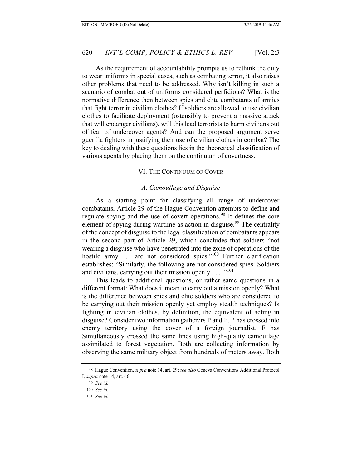As the requirement of accountability prompts us to rethink the duty to wear uniforms in special cases, such as combating terror, it also raises other problems that need to be addressed. Why isn't killing in such a scenario of combat out of uniforms considered perfidious? What is the normative difference then between spies and elite combatants of armies that fight terror in civilian clothes? If soldiers are allowed to use civilian clothes to facilitate deployment (ostensibly to prevent a massive attack that will endanger civilians), will this lead terrorists to harm civilians out of fear of undercover agents? And can the proposed argument serve guerilla fighters in justifying their use of civilian clothes in combat? The key to dealing with these questions lies in the theoretical classification of various agents by placing them on the continuum of covertness.

# VI. THE CONTINUUM OF COVER

# *A. Camouflage and Disguise*

As a starting point for classifying all range of undercover combatants, Article 29 of the Hague Convention attempts to define and regulate spying and the use of covert operations.98 It defines the core element of spying during wartime as action in disguise.<sup>99</sup> The centrality of the concept of disguise to the legal classification of combatants appears in the second part of Article 29, which concludes that soldiers "not wearing a disguise who have penetrated into the zone of operations of the hostile army ... are not considered spies."<sup>100</sup> Further clarification establishes: "Similarly, the following are not considered spies: Soldiers and civilians, carrying out their mission openly  $\dots$ ."<sup>101</sup>

This leads to additional questions, or rather same questions in a different format: What does it mean to carry out a mission openly? What is the difference between spies and elite soldiers who are considered to be carrying out their mission openly yet employ stealth techniques? Is fighting in civilian clothes, by definition, the equivalent of acting in disguise? Consider two information gatherers P and F. P has crossed into enemy territory using the cover of a foreign journalist. F has Simultaneously crossed the same lines using high-quality camouflage assimilated to forest vegetation. Both are collecting information by observing the same military object from hundreds of meters away. Both

<sup>98</sup> Hague Convention, *supra* note 14, art. 29; *see also* Geneva Conventions Additional Protocol I, *supra* note 14, art. 46.

<sup>99</sup> *See id.*

<sup>100</sup> *See id.*

<sup>101</sup> *See id.*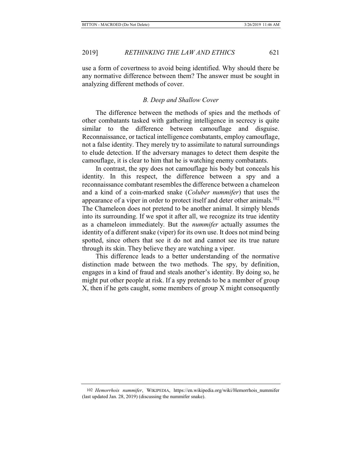2019] *RETHINKING THE LAW AND ETHICS* 621

use a form of covertness to avoid being identified. Why should there be any normative difference between them? The answer must be sought in analyzing different methods of cover.

# *B. Deep and Shallow Cover*

The difference between the methods of spies and the methods of other combatants tasked with gathering intelligence in secrecy is quite similar to the difference between camouflage and disguise. Reconnaissance, or tactical intelligence combatants, employ camouflage, not a false identity. They merely try to assimilate to natural surroundings to elude detection. If the adversary manages to detect them despite the camouflage, it is clear to him that he is watching enemy combatants.

In contrast, the spy does not camouflage his body but conceals his identity. In this respect, the difference between a spy and a reconnaissance combatant resembles the difference between a chameleon and a kind of a coin-marked snake (*Coluber nummifer*) that uses the appearance of a viper in order to protect itself and deter other animals.<sup>102</sup> The Chameleon does not pretend to be another animal. It simply blends into its surrounding. If we spot it after all, we recognize its true identity as a chameleon immediately. But the *nummifer* actually assumes the identity of a different snake (viper) for its own use. It does not mind being spotted, since others that see it do not and cannot see its true nature through its skin. They believe they are watching a viper.

This difference leads to a better understanding of the normative distinction made between the two methods. The spy, by definition, engages in a kind of fraud and steals another's identity. By doing so, he might put other people at risk. If a spy pretends to be a member of group X, then if he gets caught, some members of group X might consequently

<sup>102</sup> *Hemorrhois nummifer*, WIKIPEDIA, https://en.wikipedia.org/wiki/Hemorrhois\_nummifer (last updated Jan. 28, 2019) (discussing the nummifer snake).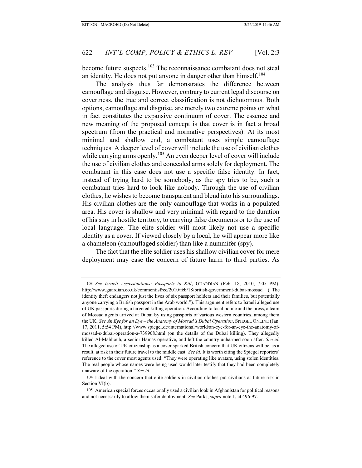become future suspects.<sup>103</sup> The reconnaissance combatant does not steal an identity. He does not put anyone in danger other than himself. $104$ 

The analysis thus far demonstrates the difference between camouflage and disguise. However, contrary to current legal discourse on covertness, the true and correct classification is not dichotomous. Both options, camouflage and disguise, are merely two extreme points on what in fact constitutes the expansive continuum of cover. The essence and new meaning of the proposed concept is that cover is in fact a broad spectrum (from the practical and normative perspectives). At its most minimal and shallow end, a combatant uses simple camouflage techniques. A deeper level of cover will include the use of civilian clothes while carrying arms openly.<sup>105</sup> An even deeper level of cover will include the use of civilian clothes and concealed arms solely for deployment. The combatant in this case does not use a specific false identity. In fact, instead of trying hard to be somebody, as the spy tries to be, such a combatant tries hard to look like nobody. Through the use of civilian clothes, he wishes to become transparent and blend into his surroundings. His civilian clothes are the only camouflage that works in a populated area. His cover is shallow and very minimal with regard to the duration of his stay in hostile territory, to carrying false documents or to the use of local language. The elite soldier will most likely not use a specific identity as a cover. If viewed closely by a local, he will appear more like a chameleon (camouflaged soldier) than like a nummifer (spy).

The fact that the elite soldier uses his shallow civilian cover for mere deployment may ease the concern of future harm to third parties. As

<sup>103</sup> *See Israeli Assassinations: Passports to Kill*, GUARDIAN (Feb. 18, 2010, 7:05 PM), http://www.guardian.co.uk/commentisfree/2010/feb/18/british-government-dubai-mossad ("The identity theft endangers not just the lives of six passport holders and their families, but potentially anyone carrying a British passport in the Arab world."). This argument refers to Israeli alleged use of UK passports during a targeted killing operation. According to local police and the press, a team of Mossad agents arrived at Dubai by using passports of various western countries, among them the UK. *See An Eye for an Eye – the Anatomy of Mossad's Dubai Operation*, SPIEGEL ONLINE (Jan. 17, 2011, 5:54 PM), http://www.spiegel.de/international/world/an-eye-for-an-eye-the-anatomy-ofmossad-s-dubai-operation-a-739908.html (on the details of the Dubai killing). They allegedly killed Al-Mabhouh, a senior Hamas operative, and left the country unharmed soon after. *See id.*  The alleged use of UK citizenship as a cover sparked British concern that UK citizens will be, as a result, at risk in their future travel to the middle east. *See id.* It is worth citing the Spiegel reporters' reference to the cover most agents used: "They were operating like avatars, using stolen identities. The real people whose names were being used would later testify that they had been completely unaware of the operation." *See id.* 

<sup>104</sup> I deal with the concern that elite soldiers in civilian clothes put civilians at future risk in Section VI(b).

<sup>105</sup> American special forces occasionally used a civilian look in Afghanistan for political reasons and not necessarily to allow them safer deployment. *See* Parks, *supra* note 1, at 496-97.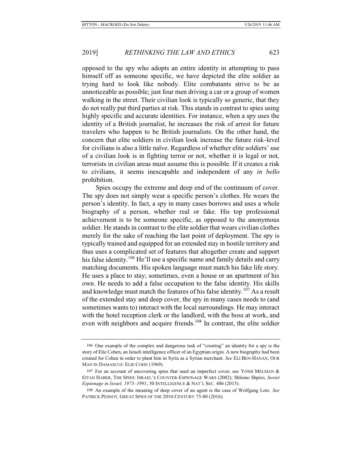opposed to the spy who adopts an entire identity in attempting to pass himself off as someone specific, we have depicted the elite soldier as trying hard to look like nobody. Elite combatants strive to be as unnoticeable as possible; just four men driving a car or a group of women walking in the street. Their civilian look is typically so generic, that they do not really put third parties at risk. This stands in contrast to spies using highly specific and accurate identities. For instance, when a spy uses the identity of a British journalist, he increases the risk of arrest for future travelers who happen to be British journalists. On the other hand, the concern that elite soldiers in civilian look increase the future risk-level for civilians is also a little naïve. Regardless of whether elite soldiers' use of a civilian look is in fighting terror or not, whether it is legal or not, terrorists in civilian areas must assume this is possible. If it creates a risk to civilians, it seems inescapable and independent of any *in bello* prohibition.

Spies occupy the extreme and deep end of the continuum of cover. The spy does not simply wear a specific person's clothes. He wears the person's identity. In fact, a spy in many cases borrows and uses a whole biography of a person, whether real or fake. His top professional achievement is to be someone specific, as opposed to the anonymous soldier. He stands in contrast to the elite soldier that wears civilian clothes merely for the sake of reaching the last point of deployment. The spy is typically trained and equipped for an extended stay in hostile territory and thus uses a complicated set of features that altogether create and support his false identity.<sup>106</sup> He'll use a specific name and family details and carry matching documents. His spoken language must match his fake life story. He uses a place to stay; sometimes, even a house or an apartment of his own. He needs to add a false occupation to the false identity. His skills and knowledge must match the features of his false identity.<sup>107</sup> As a result of the extended stay and deep cover, the spy in many cases needs to (and sometimes wants to) interact with the local surroundings. He may interact with the hotel reception clerk or the landlord, with the boss at work, and even with neighbors and acquire friends.<sup>108</sup> In contrast, the elite soldier

<sup>106</sup> One example of the complex and dangerous task of "creating" an identity for a spy is the story of Elie Cohen, an Israeli intelligence officer of an Egyptian origin. A new biography had been created for Cohen in order to plant him in Syria as a Syrian merchant. *See* ELI BEN-HANAN, OUR MAN IN DAMASCUS: ELIE COHN (1969).

<sup>107</sup> For an account of uncovering spies that used an imperfect cover, see YOSSI MELMAN & EITAN HABER, THE SPIES: ISRAEL'S COUNTER-ESPIONAGE WARS (2002); Shlomo Shpiro, *Soviet Espionage in Israel, 1973–1991*, 30 INTELLIGENCE & NAT'L SEC. 486 (2015).

<sup>108</sup> An example of the meaning of deep cover of an agent is the case of Wolfgang Lotz. *See*  PATRICK PESNOT, GREAT SPIES OF THE 20TH CENTURY 73-80 (2016).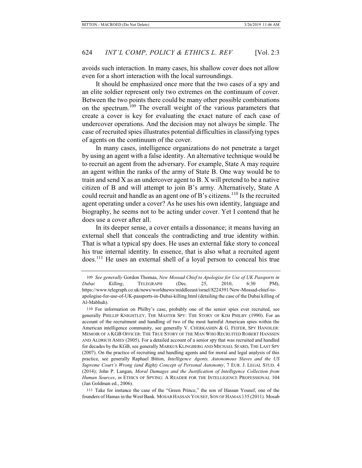avoids such interaction. In many cases, his shallow cover does not allow even for a short interaction with the local surroundings.

It should be emphasized once more that the two cases of a spy and an elite soldier represent only two extremes on the continuum of cover. Between the two points there could be many other possible combinations on the spectrum.<sup>109</sup> The overall weight of the various parameters that create a cover is key for evaluating the exact nature of each case of undercover operations. And the decision may not always be simple. The case of recruited spies illustrates potential difficulties in classifying types of agents on the continuum of the cover.

In many cases, intelligence organizations do not penetrate a target by using an agent with a false identity. An alternative technique would be to recruit an agent from the adversary. For example, State A may require an agent within the ranks of the army of State B. One way would be to train and send X as an undercover agent to B. X will pretend to be a native citizen of B and will attempt to join B's army. Alternatively, State A could recruit and handle as an agent one of B's citizens.<sup>110</sup> Is the recruited agent operating under a cover? As he uses his own identity, language and biography, he seems not to be acting under cover. Yet I contend that he does use a cover after all.

In its deeper sense, a cover entails a dissonance; it means having an external shell that conceals the contradicting and true identity within. That is what a typical spy does. He uses an external fake story to conceal his true internal identity. In essence, that is also what a recruited agent does.111 He uses an external shell of a loyal person to conceal his true

111 Take for instance the case of the "Green Prince," the son of Hassan Yousef, one of the founders of Hamas in the West Bank. MOSAB HASSAN YOUSEF, SON OF HAMAS 135 (2011). Mosab

<sup>109</sup> *See generally* Gordon Thomas, *New Mossad Chief to Apologise for Use of UK Passports in Dubai Killing*, TELEGRAPH (Dec. 25, 2010, 6:30 PM), https://www.telegraph.co.uk/news/worldnews/middleeast/israel/8224391/New-Mossad-chief-toapologise-for-use-of-UK-passports-in-Dubai-killing.html (detailing the case of the Dubai killing of Al-Mabhuh).

<sup>110</sup> For information on Philby's case, probably one of the senior spies ever recruited, see generally PHILLIP KNIGHTLEY, THE MASTER SPY: THE STORY OF KIM PHILBY (1990). For an account of the recruitment and handling of two of the most harmful American spies within the American intelligence community, see generally V. CHERKASHIN & G. FEIFER, SPY HANDLER: MEMOIR OF A KGB OFFICER: THE TRUE STORY OF THE MAN WHO RECRUITED ROBERT HANSSEN AND ALDRICH AMES (2005). For a detailed account of a senior spy that was recruited and handled for decades by the KGB, see generally MARKUS KLINGBERG AND MICHAEL SFARD, THE LAST SPY (2007). On the practice of recruiting and handling agents and for moral and legal analysis of this practice, see generally Raphael Bitton, *Intelligence Agents, Autonomous Slaves and the US Supreme Court's Wrong (and Right) Concept of Personal Autonomy*, 7 EUR. J. LEGAL STUD. 4 (2014); John P. Langan, *Moral Damages and the Justification of Intelligence Collection from Human Sources*, *in* ETHICS OF SPYING: A READER FOR THE INTELLIGENCE PROFESSIONAL 104 (Jan Goldman ed., 2006).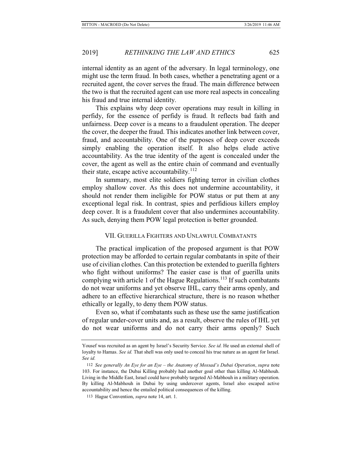internal identity as an agent of the adversary. In legal terminology, one might use the term fraud. In both cases, whether a penetrating agent or a recruited agent, the cover serves the fraud. The main difference between the two is that the recruited agent can use more real aspects in concealing his fraud and true internal identity.

This explains why deep cover operations may result in killing in perfidy, for the essence of perfidy is fraud. It reflects bad faith and unfairness. Deep cover is a means to a fraudulent operation. The deeper the cover, the deeper the fraud. This indicates another link between cover, fraud, and accountability. One of the purposes of deep cover exceeds simply enabling the operation itself. It also helps elude active accountability. As the true identity of the agent is concealed under the cover, the agent as well as the entire chain of command and eventually their state, escape active accountability.<sup>112</sup>

In summary, most elite soldiers fighting terror in civilian clothes employ shallow cover. As this does not undermine accountability, it should not render them ineligible for POW status or put them at any exceptional legal risk. In contrast, spies and perfidious killers employ deep cover. It is a fraudulent cover that also undermines accountability. As such, denying them POW legal protection is better grounded.

# VII. GUERILLA FIGHTERS AND UNLAWFUL COMBATANTS

The practical implication of the proposed argument is that POW protection may be afforded to certain regular combatants in spite of their use of civilian clothes. Can this protection be extended to guerilla fighters who fight without uniforms? The easier case is that of guerilla units complying with article 1 of the Hague Regulations.<sup>113</sup> If such combatants do not wear uniforms and yet observe IHL, carry their arms openly, and adhere to an effective hierarchical structure, there is no reason whether ethically or legally, to deny them POW status.

Even so, what if combatants such as these use the same justification of regular under-cover units and, as a result, observe the rules of IHL yet do not wear uniforms and do not carry their arms openly? Such

Yousef was recruited as an agent by Israel's Security Service. See id. He used an external shell of loyalty to Hamas. *See id.* That shell was only used to conceal his true nature as an agent for Israel. *See id.* 

<sup>112</sup> *See generally An Eye for an Eye – the Anatomy of Mossad's Dubai Operation*, *supra* note 103. For instance, the Dubai Killing probably had another goal other than killing Al-Mabhouh. Living in the Middle East, Israel could have probably targeted Al-Mabhouh in a military operation. By killing Al-Mabhouh in Dubai by using undercover agents, Israel also escaped active accountability and hence the entailed political consequences of the killing.

<sup>113</sup> Hague Convention, *supra* note 14, art. 1.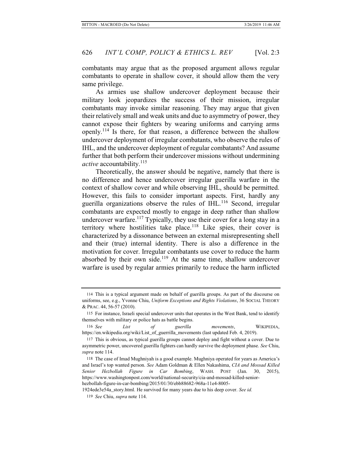combatants may argue that as the proposed argument allows regular combatants to operate in shallow cover, it should allow them the very same privilege.

As armies use shallow undercover deployment because their military look jeopardizes the success of their mission, irregular combatants may invoke similar reasoning. They may argue that given their relatively small and weak units and due to asymmetry of power, they cannot expose their fighters by wearing uniforms and carrying arms openly.114 Is there, for that reason, a difference between the shallow undercover deployment of irregular combatants, who observe the rules of IHL, and the undercover deployment of regular combatants? And assume further that both perform their undercover missions without undermining *active* accountability.<sup>115</sup>

Theoretically, the answer should be negative, namely that there is no difference and hence undercover irregular guerilla warfare in the context of shallow cover and while observing IHL, should be permitted. However, this fails to consider important aspects. First, hardly any guerilla organizations observe the rules of IHL.<sup>116</sup> Second, irregular combatants are expected mostly to engage in deep rather than shallow undercover warfare.<sup>117</sup> Typically, they use their cover for a long stay in a territory where hostilities take place.<sup>118</sup> Like spies, their cover is characterized by a dissonance between an external misrepresenting shell and their (true) internal identity. There is also a difference in the motivation for cover. Irregular combatants use cover to reduce the harm absorbed by their own side.<sup>119</sup> At the same time, shallow undercover warfare is used by regular armies primarily to reduce the harm inflicted

<sup>114</sup> This is a typical argument made on behalf of guerilla groups. As part of the discourse on uniforms, see, e.g., Yvonne Chiu, *Uniform Exceptions and Rights Violations*, 36 SOCIAL THEORY & PRAC. 44, 56-57 (2010).

<sup>115</sup> For instance, Israeli special undercover units that operates in the West Bank, tend to identify themselves with military or police hats as battle begins.

<sup>116</sup> *See List of guerilla movements*, WIKIPEDIA, https://en.wikipedia.org/wiki/List\_of\_guerrilla\_movements (last updated Feb. 4, 2019).

<sup>117</sup> This is obvious, as typical guerilla groups cannot deploy and fight without a cover. Due to asymmetric power, uncovered guerilla fighters can hardly survive the deployment phase. *See* Chiu, *supra* note 114.

<sup>118</sup> The case of Imad Mughniyah is a good example. Mughniya operated for years as America's and Israel's top wanted person. *See* Adam Goldman & Ellen Nakashima, *CIA and Mossad Killed Senior Hezbollah Figure in Car Bombing*, WASH. POST (Jan. 30, 2015), https://www.washingtonpost.com/world/national-security/cia-and-mossad-killed-seniorhezbollah-figure-in-car-bombing/2015/01/30/ebb88682-968a-11e4-8005-

<sup>1924</sup>ede3e54a\_story.html. He survived for many years due to his deep cover. *See id.*

<sup>119</sup> *See* Chiu, *supra* note 114.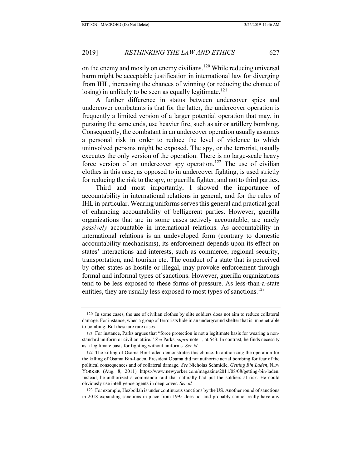on the enemy and mostly on enemy civilians.120 While reducing universal harm might be acceptable justification in international law for diverging from IHL, increasing the chances of winning (or reducing the chance of losing) in unlikely to be seen as equally legitimate.<sup>121</sup>

A further difference in status between undercover spies and undercover combatants is that for the latter, the undercover operation is frequently a limited version of a larger potential operation that may, in pursuing the same ends, use heavier fire, such as air or artillery bombing. Consequently, the combatant in an undercover operation usually assumes a personal risk in order to reduce the level of violence to which uninvolved persons might be exposed. The spy, or the terrorist, usually executes the only version of the operation. There is no large-scale heavy force version of an undercover spy operation.<sup>122</sup> The use of civilian clothes in this case, as opposed to in undercover fighting, is used strictly for reducing the risk to the spy, or guerilla fighter, and not to third parties.

Third and most importantly, I showed the importance of accountability in international relations in general, and for the rules of IHL in particular. Wearing uniforms serves this general and practical goal of enhancing accountability of belligerent parties. However, guerilla organizations that are in some cases actively accountable, are rarely *passively* accountable in international relations. As accountability in international relations is an undeveloped form (contrary to domestic accountability mechanisms), its enforcement depends upon its effect on states' interactions and interests, such as commerce, regional security, transportation, and tourism etc. The conduct of a state that is perceived by other states as hostile or illegal, may provoke enforcement through formal and informal types of sanctions. However, guerilla organizations tend to be less exposed to these forms of pressure. As less-than-a-state entities, they are usually less exposed to most types of sanctions.<sup>123</sup>

123 For example, Hezbollah is under continuous sanctions by the US. Another round of sanctions in 2018 expanding sanctions in place from 1995 does not and probably cannot really have any

<sup>120</sup> In some cases, the use of civilian clothes by elite soldiers does not aim to reduce collateral damage. For instance, when a group of terrorists hide in an underground shelter that is impenetrable to bombing. But these are rare cases.

<sup>121</sup> For instance, Parks argues that "force protection is not a legitimate basis for wearing a nonstandard uniform or civilian attire." *See* Parks, *supra* note 1, at 543. In contrast, he finds necessity as a legitimate basis for fighting without uniforms. *See id.*

<sup>122</sup> The killing of Osama Bin-Laden demonstrates this choice. In authorizing the operation for the killing of Osama Bin-Laden, President Obama did not authorize aerial bombing for fear of the political consequences and of collateral damage. *See* Nicholas Schmidle, *Getting Bin Laden*, NEW YORKER (Aug. 8, 2011) https://www.newyorker.com/magazine/2011/08/08/getting-bin-laden. Instead, he authorized a commando raid that naturally had put the soldiers at risk. He could obviously use intelligence agents in deep cover. *See id.*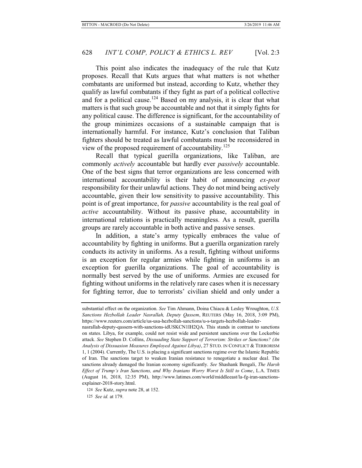This point also indicates the inadequacy of the rule that Kutz proposes. Recall that Kuts argues that what matters is not whether combatants are uniformed but instead, according to Kutz, whether they qualify as lawful combatants if they fight as part of a political collective and for a political cause.<sup>124</sup> Based on my analysis, it is clear that what matters is that such group be accountable and not that it simply fights for any political cause. The difference is significant, for the accountability of the group minimizes occasions of a sustainable campaign that is internationally harmful. For instance, Kutz's conclusion that Taliban fighters should be treated as lawful combatants must be reconsidered in view of the proposed requirement of accountability.<sup>125</sup>

Recall that typical guerilla organizations, like Taliban, are commonly *actively* accountable but hardly ever *passively* accountable. One of the best signs that terror organizations are less concerned with international accountability is their habit of announcing *ex-post* responsibility for their unlawful actions. They do not mind being actively accountable, given their low sensitivity to passive accountability. This point is of great importance, for *passive* accountability is the real goal of *active* accountability. Without its passive phase, accountability in international relations is practically meaningless. As a result, guerilla groups are rarely accountable in both active and passive senses.

In addition, a state's army typically embraces the value of accountability by fighting in uniforms. But a guerilla organization rarely conducts its activity in uniforms. As a result, fighting without uniforms is an exception for regular armies while fighting in uniforms is an exception for guerilla organizations. The goal of accountability is normally best served by the use of uniforms. Armies are excused for fighting without uniforms in the relatively rare cases when it is necessary for fighting terror, due to terrorists' civilian shield and only under a

nasrallah-deputy-qassem-with-sanctions-idUSKCN1IH2QA. This stands in contrast to sanctions on states. Libya, for example, could not resist wide and persistent sanctions over the Lockerbie attack. *See* Stephen D. Collins, *Dissuading State Support of Terrorism: Strikes or Sanctions? (An Analysis of Dissuasion Measures Employed Against Libya)*, 27 STUD. IN CONFLICT & TERRORISM 1, 1 (2004). Currently, The U.S. is placing a significant sanctions regime over the Islamic Republic of Iran. The sanctions target to weaken Iranian resistance to renegotiate a nuclear deal. The sanctions already damaged the Iranian economy significantly. *See* Shashank Bengali, *The Harsh Effect of Trump's Iran Sanctions, and Why Iranians Worry Worst Is Still to Come*, L.A. TIMES (August 16, 2018, 12:35 PM), http://www.latimes.com/world/middleeast/la-fg-iran-sanctionsexplainer-2018-story.html.

124 *See* Kutz, *supra* note 28, at 152.

125 *See id.* at 179.

substantial effect on the organization. *See* Tim Ahmann, Doina Chiacu & Lesley Wroughton, *U.S. Sanctions Hezbollah Leader Nasrallah, Deputy Qassem*, REUTERS (May 16, 2018, 3:09 PM), https://www.reuters.com/article/us-usa-hezbollah-sanctions/u-s-targets-hezbollah-leader-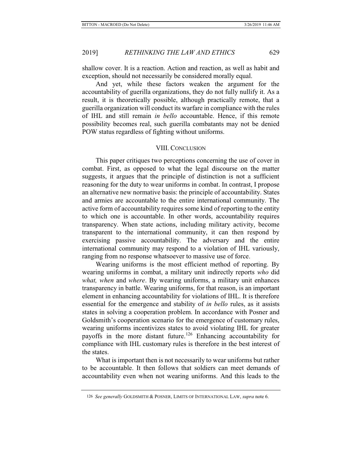shallow cover. It is a reaction. Action and reaction, as well as habit and exception, should not necessarily be considered morally equal.

And yet, while these factors weaken the argument for the accountability of guerilla organizations, they do not fully nullify it. As a result, it is theoretically possible, although practically remote, that a guerilla organization will conduct its warfare in compliance with the rules of IHL and still remain *in bello* accountable. Hence, if this remote possibility becomes real, such guerilla combatants may not be denied POW status regardless of fighting without uniforms.

### VIII. CONCLUSION

This paper critiques two perceptions concerning the use of cover in combat. First, as opposed to what the legal discourse on the matter suggests, it argues that the principle of distinction is not a sufficient reasoning for the duty to wear uniforms in combat. In contrast, I propose an alternative new normative basis: the principle of accountability. States and armies are accountable to the entire international community. The active form of accountability requires some kind of reporting to the entity to which one is accountable. In other words, accountability requires transparency. When state actions, including military activity, become transparent to the international community, it can then respond by exercising passive accountability. The adversary and the entire international community may respond to a violation of IHL variously, ranging from no response whatsoever to massive use of force.

Wearing uniforms is the most efficient method of reporting. By wearing uniforms in combat, a military unit indirectly reports *who* did *what, when* and *where*. By wearing uniforms, a military unit enhances transparency in battle. Wearing uniforms, for that reason, is an important element in enhancing accountability for violations of IHL. It is therefore essential for the emergence and stability of *in bello* rules, as it assists states in solving a cooperation problem. In accordance with Posner and Goldsmith's cooperation scenario for the emergence of customary rules, wearing uniforms incentivizes states to avoid violating IHL for greater payoffs in the more distant future.<sup>126</sup> Enhancing accountability for compliance with IHL customary rules is therefore in the best interest of the states.

What is important then is not necessarily to wear uniforms but rather to be accountable. It then follows that soldiers can meet demands of accountability even when not wearing uniforms. And this leads to the

<sup>126</sup> *See generally* GOLDSMITH & POSNER, LIMITS OF INTERNATIONAL LAW, *supra* note 6.